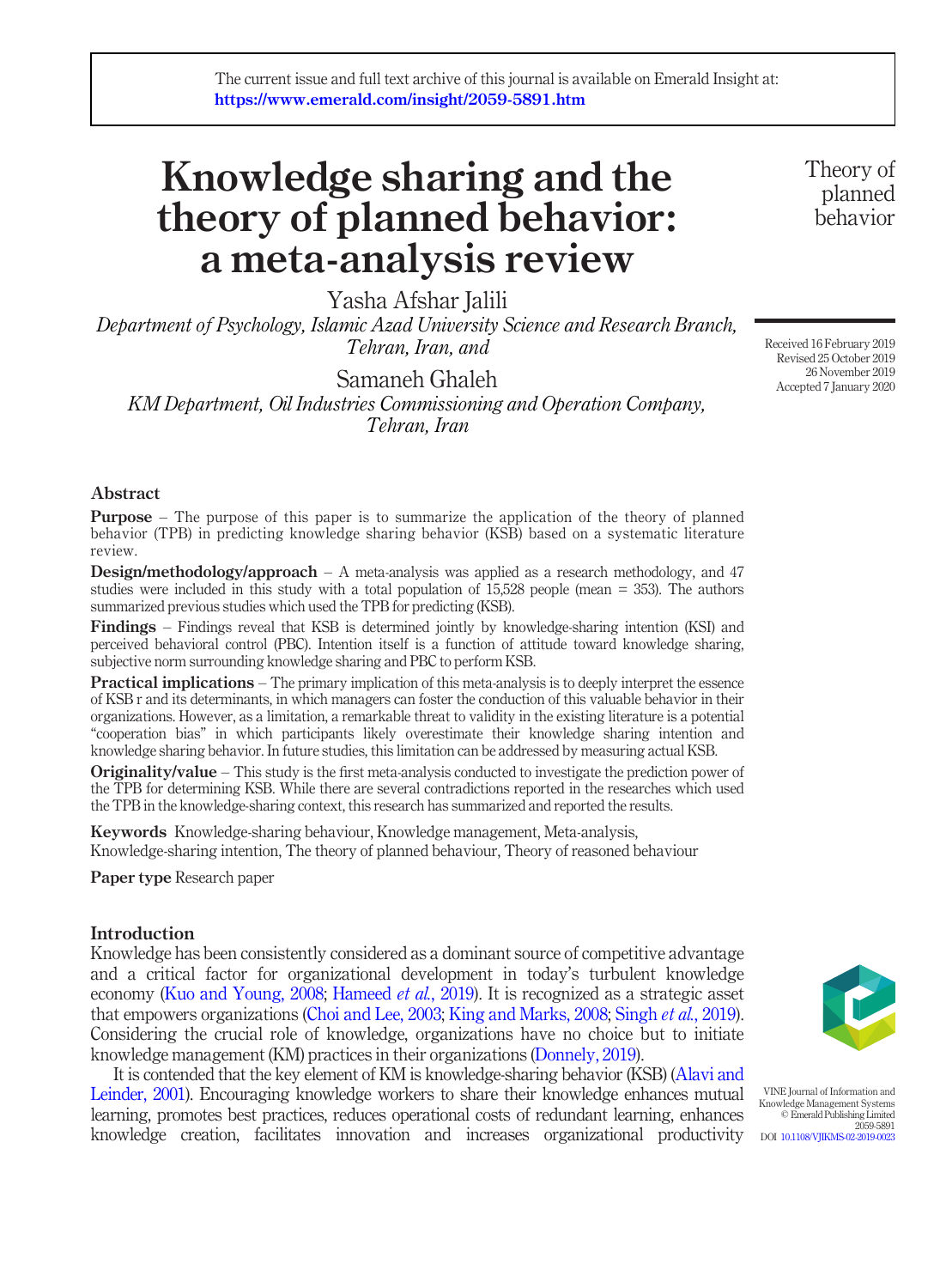# Knowledge sharing and the theory of planned behavior: a meta-analysis review

Yasha Afshar Jalili

Department of Psychology, Islamic Azad University Science and Research Branch, Tehran, Iran, and

Samaneh Ghaleh

KM Department, Oil Industries Commissioning and Operation Company, Tehran, Iran

Theory of planned behavior

Received 16 February 2019 Revised 25 October 2019 26 November 2019 Accepted 7 January 2020

#### Abstract

**Purpose** – The purpose of this paper is to summarize the application of the theory of planned behavior (TPB) in predicting knowledge sharing behavior (KSB) based on a systematic literature review.

Design/methodology/approach – A meta-analysis was applied as a research methodology, and 47 studies were included in this study with a total population of 15,528 people (mean = 353). The authors summarized previous studies which used the TPB for predicting (KSB).

Findings – Findings reveal that KSB is determined jointly by knowledge-sharing intention (KSI) and perceived behavioral control (PBC). Intention itself is a function of attitude toward knowledge sharing, subjective norm surrounding knowledge sharing and PBC to perform KSB.

**Practical implications** – The primary implication of this meta-analysis is to deeply interpret the essence of KSB r and its determinants, in which managers can foster the conduction of this valuable behavior in their organizations. However, as a limitation, a remarkable threat to validity in the existing literature is a potential "cooperation bias" in which participants likely overestimate their knowledge sharing intention and knowledge sharing behavior. In future studies, this limitation can be addressed by measuring actual KSB.

**Originality/value** – This study is the first meta-analysis conducted to investigate the prediction power of the TPB for determining KSB. While there are several contradictions reported in the researches which used the TPB in the knowledge-sharing context, this research has summarized and reported the results.

Keywords Knowledge-sharing behaviour, Knowledge management, Meta-analysis, Knowledge-sharing intention, The theory of planned behaviour, Theory of reasoned behaviour

Paper type Research paper

#### Introduction

Knowledge has been consistently considered as a dominant source of competitive advantage and a critical factor for organizational development in today's turbulent knowledge economy [\(Kuo and Young, 2008](#page-20-0); [Hameed](#page-19-0) *et al.*, 2019). It is recognized as a strategic asset that empowers organizations [\(Choi and Lee, 2003](#page-18-0); [King and Marks, 2008](#page-20-1); [Singh](#page-21-0) et al., 2019). Considering the crucial role of knowledge, organizations have no choice but to initiate knowledge management (KM) practices in their organizations ([Donnely, 2019](#page-19-1)).

It is contended that the key element of KM is knowledge-sharing behavior (KSB) ([Alavi and](#page-17-0) [Leinder, 2001](#page-17-0)). Encouraging knowledge workers to share their knowledge enhances mutual learning, promotes best practices, reduces operational costs of redundant learning, enhances knowledge creation, facilitates innovation and increases organizational productivity



VINE Journal of Information and Knowledge Management Systems © Emerald Publishing Limited 2059-5891 DOI [10.1108/VJIKMS-02-2019-0023](http://dx.doi.org/10.1108/VJIKMS-02-2019-0023)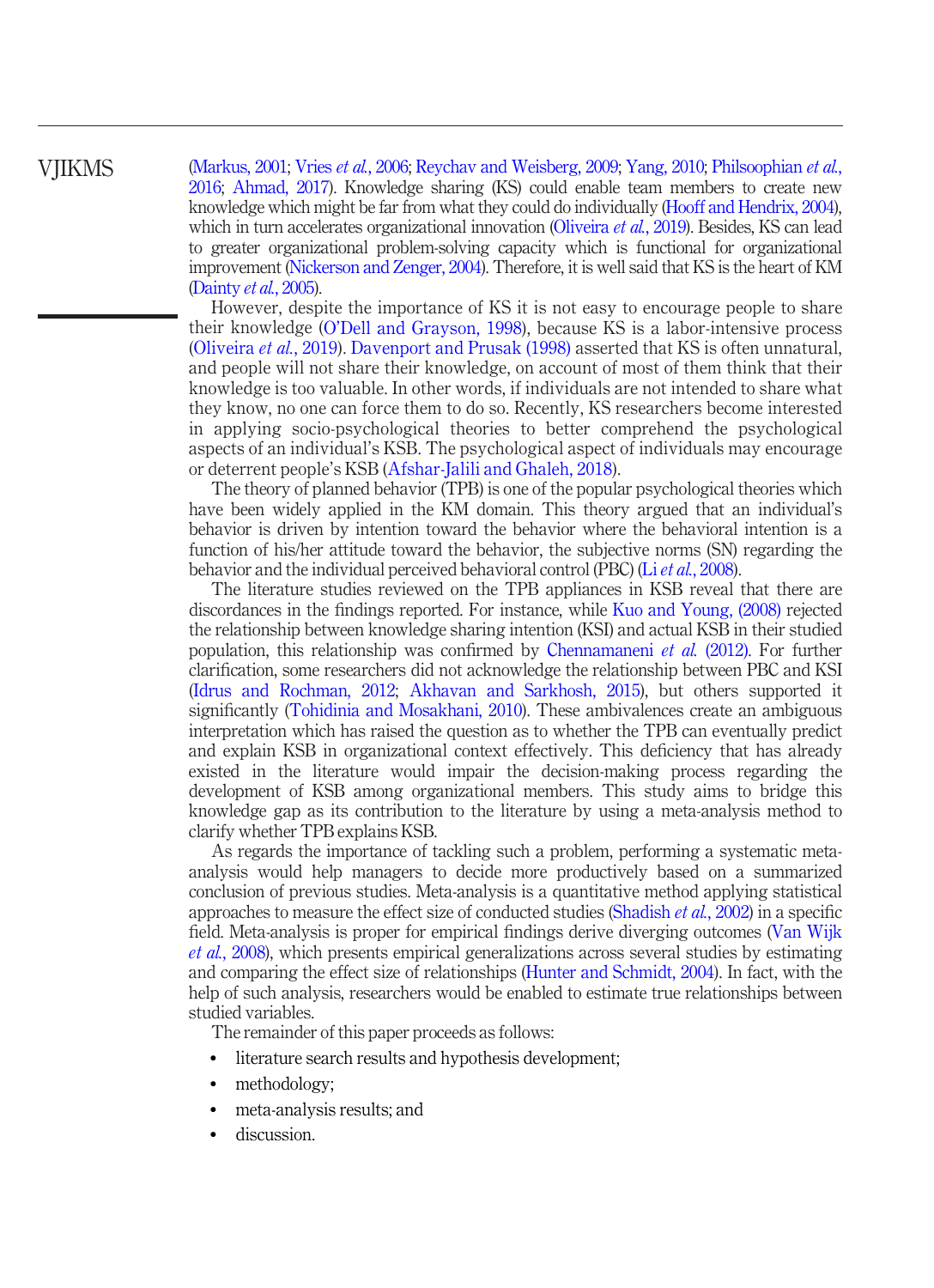[\(Markus, 2001;](#page-20-2) Vries et al.[, 2006;](#page-22-0) [Reychav and Weisberg, 2009;](#page-21-1) [Yang, 2010](#page-22-1); [Philsoophian](#page-21-2) et al., [2016;](#page-21-2) [Ahmad, 2017\)](#page-17-1). Knowledge sharing (KS) could enable team members to create new knowledge which might be far from what they could do individually [\(Hooff and Hendrix, 2004\)](#page-19-2), which in turn accelerates organizational innovation ([Oliveira](#page-21-3) et al., 2019). Besides, KS can lead to greater organizational problem-solving capacity which is functional for organizational improvement [\(Nickerson and Zenger, 2004](#page-20-3)). Therefore, it is well said that KS is the heart of KM

[\(Dainty](#page-18-1) et al., 2005).

However, despite the importance of KS it is not easy to encourage people to share their knowledge (O'[Dell and Grayson, 1998\)](#page-20-4), because KS is a labor-intensive process [\(Oliveira](#page-21-3) et al., 2019). [Davenport and Prusak \(1998\)](#page-19-3) asserted that KS is often unnatural, and people will not share their knowledge, on account of most of them think that their knowledge is too valuable. In other words, if individuals are not intended to share what they know, no one can force them to do so. Recently, KS researchers become interested in applying socio-psychological theories to better comprehend the psychological aspects of an individual's KSB. The psychological aspect of individuals may encourage or deterrent people's KSB ([Afshar-Jalili and Ghaleh, 2018\)](#page-17-2).

The theory of planned behavior (TPB) is one of the popular psychological theories which have been widely applied in the KM domain. This theory argued that an individual's behavior is driven by intention toward the behavior where the behavioral intention is a function of his/her attitude toward the behavior, the subjective norms (SN) regarding the behavior and the individual perceived behavioral control (PBC) (Li *et al.*[, 2008](#page-20-5)).

The literature studies reviewed on the TPB appliances in KSB reveal that there are discordances in the findings reported. For instance, while [Kuo and Young, \(2008\)](#page-20-0) rejected the relationship between knowledge sharing intention (KSI) and actual KSB in their studied population, this relationship was confirmed by [Chennamaneni](#page-18-2) et al. (2012). For further clarification, some researchers did not acknowledge the relationship between PBC and KSI [\(Idrus and Rochman, 2012;](#page-20-6) [Akhavan and Sarkhosh, 2015](#page-17-3)), but others supported it significantly ([Tohidinia and Mosakhani, 2010\)](#page-22-2). These ambivalences create an ambiguous interpretation which has raised the question as to whether the TPB can eventually predict and explain KSB in organizational context effectively. This deficiency that has already existed in the literature would impair the decision-making process regarding the development of KSB among organizational members. This study aims to bridge this knowledge gap as its contribution to the literature by using a meta-analysis method to clarify whether TPB explains KSB.

As regards the importance of tackling such a problem, performing a systematic metaanalysis would help managers to decide more productively based on a summarized conclusion of previous studies. Meta-analysis is a quantitative method applying statistical approaches to measure the effect size of conducted studies [\(Shadish](#page-21-4) et al., 2002) in a specific field. Meta-analysis is proper for empirical findings derive diverging outcomes ([Van Wijk](#page-22-3) et al.[, 2008](#page-22-3)), which presents empirical generalizations across several studies by estimating and comparing the effect size of relationships ([Hunter and Schmidt, 2004](#page-19-4)). In fact, with the help of such analysis, researchers would be enabled to estimate true relationships between studied variables.

The remainder of this paper proceeds as follows:

- literature search results and hypothesis development;
- methodology;
- meta-analysis results; and
- discussion.

# VJIKMS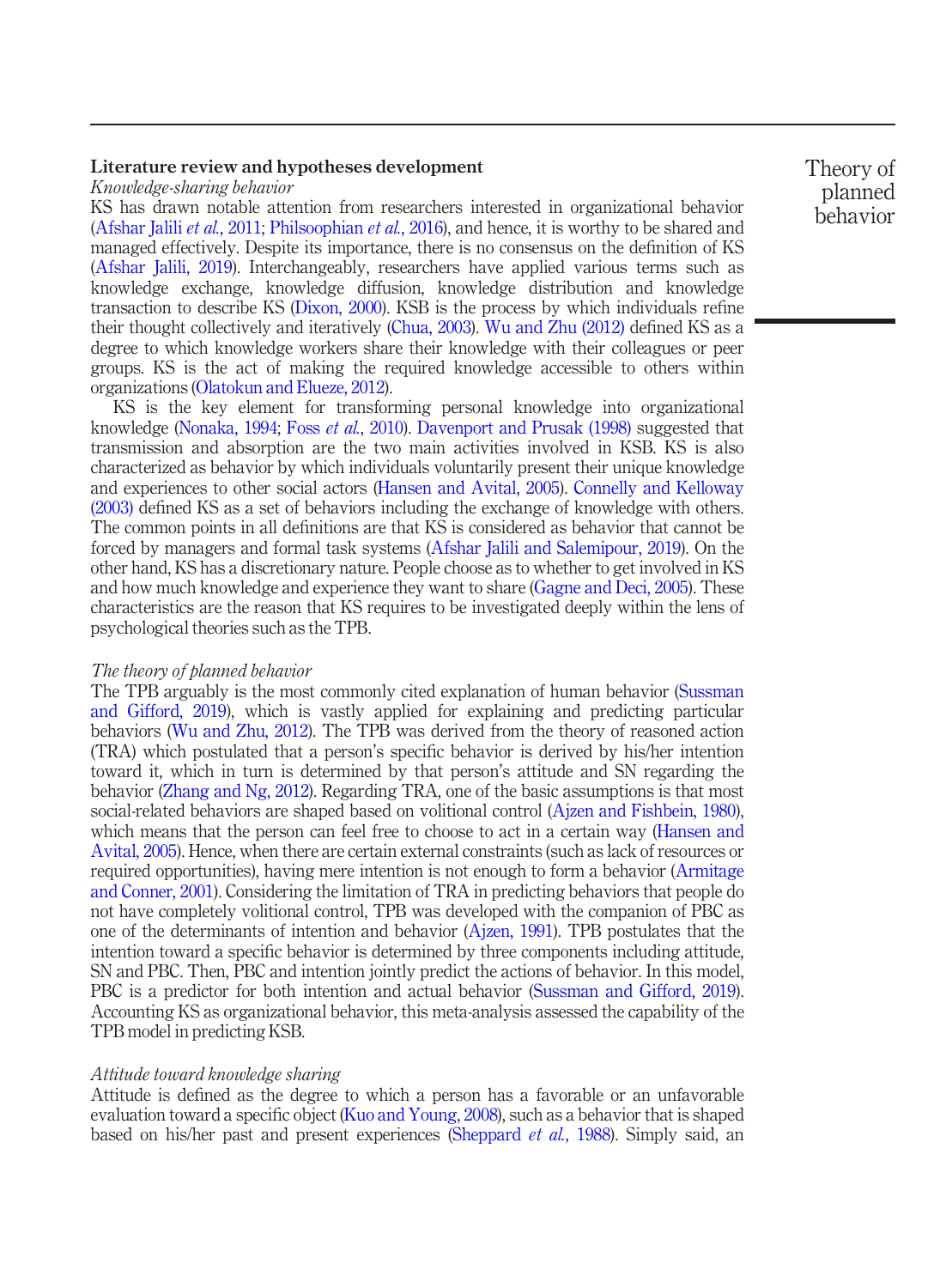### Literature review and hypotheses development

#### Knowledge-sharing behavior

KS has drawn notable attention from researchers interested in organizational behavior [\(Afshar Jalili](#page-17-4) *et al.*, 2011; [Philsoophian](#page-21-2) *et al.*, 2016), and hence, it is worthy to be shared and managed effectively. Despite its importance, there is no consensus on the definition of KS [\(Afshar Jalili, 2019\)](#page-17-5). Interchangeably, researchers have applied various terms such as knowledge exchange, knowledge diffusion, knowledge distribution and knowledge transaction to describe KS ([Dixon, 2000\)](#page-19-5). KSB is the process by which individuals refine their thought collectively and iteratively ([Chua, 2003\)](#page-18-3). [Wu and Zhu \(2012\)](#page-22-4) defined KS as a degree to which knowledge workers share their knowledge with their colleagues or peer groups. KS is the act of making the required knowledge accessible to others within organizations ([Olatokun and Elueze, 2012](#page-21-5)).

KS is the key element for transforming personal knowledge into organizational knowledge ([Nonaka, 1994;](#page-20-7) Foss et al.[, 2010](#page-19-6)). [Davenport and Prusak \(1998\)](#page-19-3) suggested that transmission and absorption are the two main activities involved in KSB. KS is also characterized as behavior by which individuals voluntarily present their unique knowledge and experiences to other social actors ([Hansen and Avital, 2005\)](#page-19-7). [Connelly and Kelloway](#page-18-4) [\(2003\)](#page-18-4) defined KS as a set of behaviors including the exchange of knowledge with others. The common points in all definitions are that KS is considered as behavior that cannot be forced by managers and formal task systems ([Afshar Jalili and Salemipour, 2019\)](#page-17-6). On the other hand, KS has a discretionary nature. People choose as to whether to get involved in KS and how much knowledge and experience they want to share [\(Gagne and Deci, 2005\)](#page-19-8). These characteristics are the reason that KS requires to be investigated deeply within the lens of psychological theories such as the TPB.

#### The theory of planned behavior

The TPB arguably is the most commonly cited explanation of human behavior ([Sussman](#page-21-6) [and Gifford, 2019\)](#page-21-6), which is vastly applied for explaining and predicting particular behaviors ([Wu and Zhu, 2012\)](#page-22-4). The TPB was derived from the theory of reasoned action (TRA) which postulated that a person's specific behavior is derived by his/her intention toward it, which in turn is determined by that person's attitude and SN regarding the behavior [\(Zhang and Ng, 2012](#page-22-5)). Regarding TRA, one of the basic assumptions is that most social-related behaviors are shaped based on volitional control ([Ajzen and Fishbein, 1980\)](#page-17-7), which means that the person can feel free to choose to act in a certain way [\(Hansen and](#page-19-7) [Avital, 2005](#page-19-7)). Hence, when there are certain external constraints (such as lack of resources or required opportunities), having mere intention is not enough to form a behavior ([Armitage](#page-18-5) [and Conner, 2001\)](#page-18-5). Considering the limitation of TRA in predicting behaviors that people do not have completely volitional control, TPB was developed with the companion of PBC as one of the determinants of intention and behavior [\(Ajzen, 1991](#page-17-8)). TPB postulates that the intention toward a specific behavior is determined by three components including attitude, SN and PBC. Then, PBC and intention jointly predict the actions of behavior. In this model, PBC is a predictor for both intention and actual behavior ([Sussman and Gifford, 2019\)](#page-21-6). Accounting KS as organizational behavior, this meta-analysis assessed the capability of the TPB model in predicting KSB.

#### Attitude toward knowledge sharing

Attitude is defined as the degree to which a person has a favorable or an unfavorable evaluation toward a specific object [\(Kuo and Young, 2008\)](#page-20-0), such as a behavior that is shaped based on his/her past and present experiences [\(Sheppard](#page-21-7) *et al.*, 1988). Simply said, an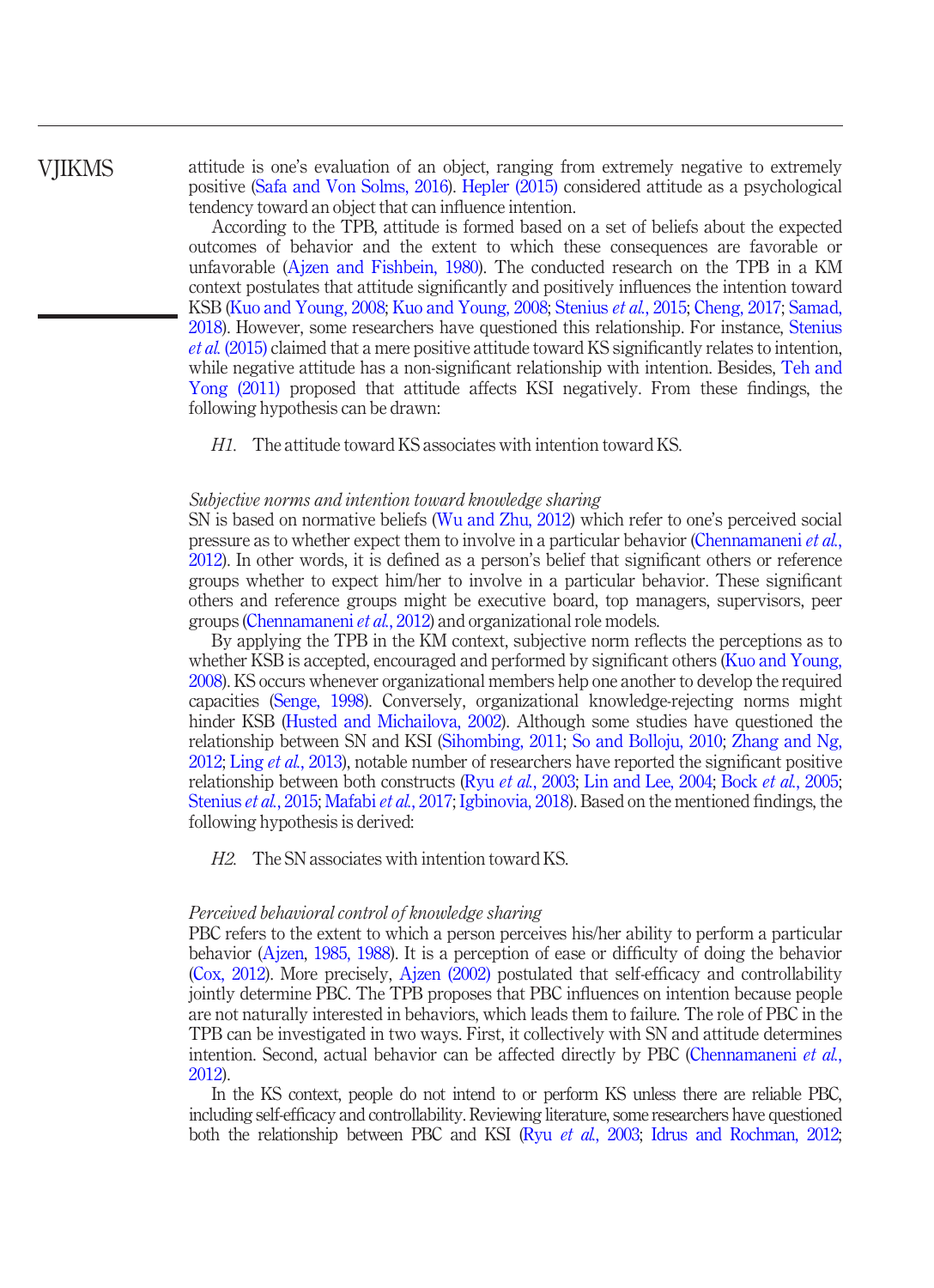# VJIKMS

attitude is one's evaluation of an object, ranging from extremely negative to extremely positive [\(Safa and Von Solms, 2016\)](#page-21-8). [Hepler \(2015\)](#page-19-9) considered attitude as a psychological tendency toward an object that can influence intention.

According to the TPB, attitude is formed based on a set of beliefs about the expected outcomes of behavior and the extent to which these consequences are favorable or unfavorable ([Ajzen and Fishbein, 1980\)](#page-17-7). The conducted research on the TPB in a KM context postulates that attitude significantly and positively influences the intention toward KSB ([Kuo and Young, 2008](#page-20-0); [Kuo and Young, 2008](#page-20-0); [Stenius](#page-21-9) et al., 2015; [Cheng, 2017;](#page-18-6) [Samad,](#page-21-10) [2018](#page-21-10)). However, some researchers have questioned this relationship. For instance, [Stenius](#page-21-9) et al. [\(2015\)](#page-21-9) claimed that a mere positive attitude toward KS significantly relates to intention, while negative attitude has a non-significant relationship with intention. Besides, [Teh and](#page-22-6) [Yong \(2011\)](#page-22-6) proposed that attitude affects KSI negatively. From these findings, the following hypothesis can be drawn:

H1. The attitude toward KS associates with intention toward KS.

#### Subjective norms and intention toward knowledge sharing

SN is based on normative beliefs ([Wu and Zhu, 2012](#page-22-4)) which refer to one's perceived social pressure as to whether expect them to involve in a particular behavior [\(Chennamaneni](#page-18-2) et al., [2012](#page-18-2)). In other words, it is defined as a person's belief that significant others or reference groups whether to expect him/her to involve in a particular behavior. These significant others and reference groups might be executive board, top managers, supervisors, peer groups ([Chennamaneni](#page-18-2) et al., 2012) and organizational role models.

By applying the TPB in the KM context, subjective norm reflects the perceptions as to whether KSB is accepted, encouraged and performed by significant others [\(Kuo and Young,](#page-20-0) [2008](#page-20-0)). KS occurs whenever organizational members help one another to develop the required capacities ([Senge, 1998](#page-21-11)). Conversely, organizational knowledge-rejecting norms might hinder KSB [\(Husted and Michailova, 2002\)](#page-19-10). Although some studies have questioned the relationship between SN and KSI ([Sihombing, 2011](#page-21-12); [So and Bolloju, 2010;](#page-21-13) [Zhang and Ng,](#page-22-5) [2012](#page-22-5); Ling *et al.*[, 2013\)](#page-20-8), notable number of researchers have reported the significant positive relationship between both constructs (Ryu et al.[, 2003](#page-21-14); [Lin and Lee, 2004](#page-20-9); Bock et al.[, 2005](#page-18-7); [Stenius](#page-21-9) et al., 2015; [Mafabi](#page-20-10) et al., 2017; [Igbinovia, 2018\)](#page-20-11). Based on the mentioned findings, the following hypothesis is derived:

H2. The SN associates with intention toward KS.

#### Perceived behavioral control of knowledge sharing

PBC refers to the extent to which a person perceives his/her ability to perform a particular behavior ([Ajzen,](#page-17-9) [1985, 1988](#page-17-10)). It is a perception of ease or difficulty of doing the behavior [\(Cox, 2012](#page-18-8)). More precisely, [Ajzen \(2002\)](#page-17-11) postulated that self-efficacy and controllability jointly determine PBC. The TPB proposes that PBC influences on intention because people are not naturally interested in behaviors, which leads them to failure. The role of PBC in the TPB can be investigated in two ways. First, it collectively with SN and attitude determines intention. Second, actual behavior can be affected directly by PBC ([Chennamaneni](#page-18-2) *et al.*, [2012](#page-18-2)).

In the KS context, people do not intend to or perform KS unless there are reliable PBC, including self-efficacy and controllability. Reviewing literature, some researchers have questioned both the relationship between PBC and KSI (Ryu *et al.*[, 2003;](#page-21-14) [Idrus and Rochman, 2012;](#page-20-6)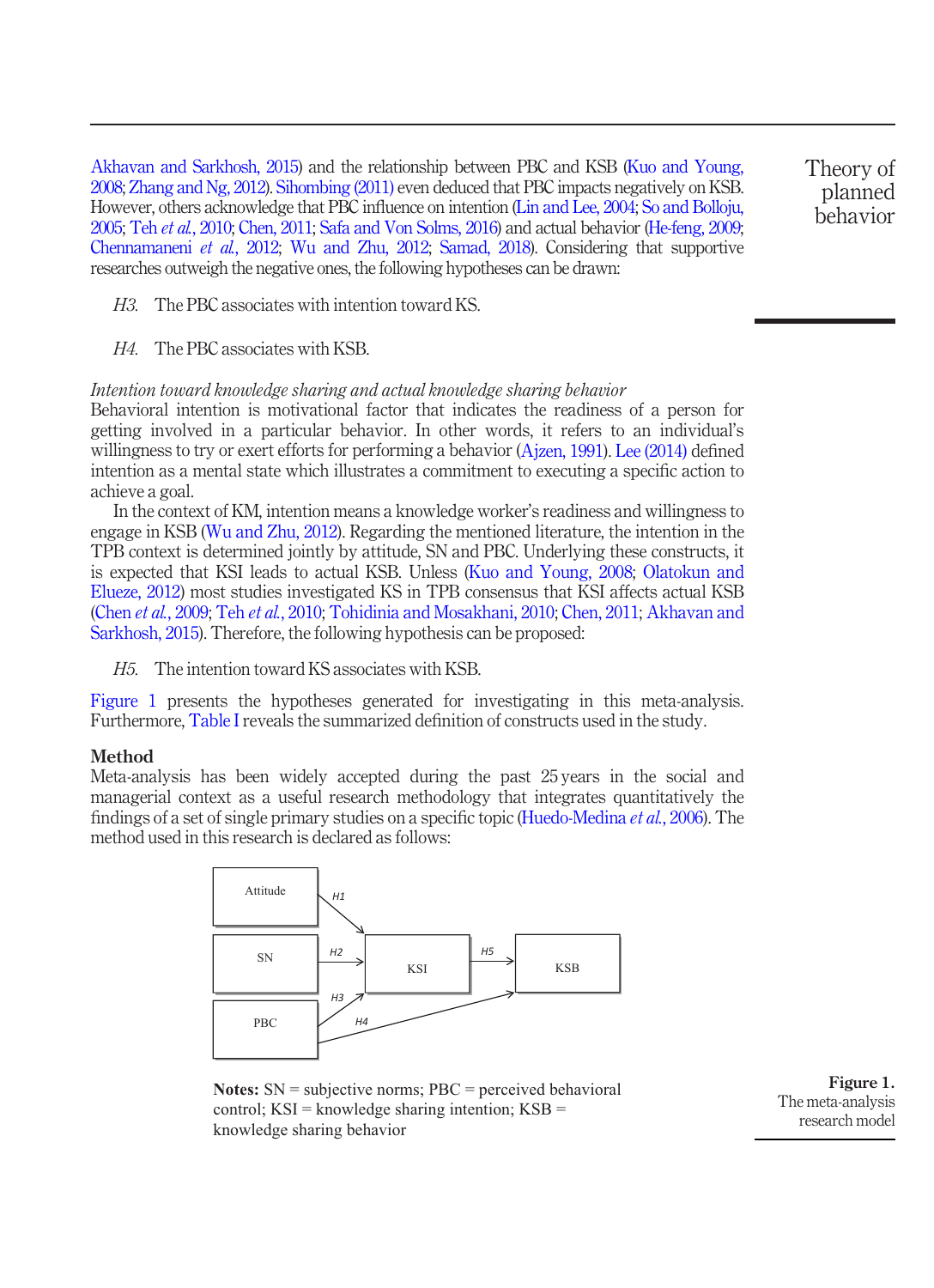[Akhavan and Sarkhosh, 2015\)](#page-17-3) and the relationship between PBC and KSB ([Kuo and Young,](#page-20-0) [2008;](#page-20-0) [Zhang and Ng, 2012](#page-22-5)). [Sihombing \(2011\)](#page-21-12) even deduced that PBC impacts negatively on KSB. However, others acknowledge that PBC influence on intention [\(Lin and Lee, 2004;](#page-20-9) [So and Bolloju,](#page-21-15) [2005;](#page-21-15) Teh et al.[, 2010](#page-22-7); [Chen, 2011](#page-18-9); [Safa and Von Solms, 2016\)](#page-21-8) and actual behavior [\(He-feng, 2009](#page-19-11); [Chennamaneni](#page-18-2) et al., 2012; [Wu and Zhu, 2012](#page-22-4); [Samad, 2018](#page-21-10)). Considering that supportive researches outweigh the negative ones, the following hypotheses can be drawn:

Theory of planned behavior

- H3. The PBC associates with intention toward KS.
- H4. The PBC associates with KSB.

#### Intention toward knowledge sharing and actual knowledge sharing behavior

Behavioral intention is motivational factor that indicates the readiness of a person for getting involved in a particular behavior. In other words, it refers to an individual's willingness to try or exert efforts for performing a behavior [\(Ajzen, 1991\)](#page-17-8). [Lee \(2014\)](#page-20-12) defined intention as a mental state which illustrates a commitment to executing a specific action to achieve a goal.

In the context of KM, intention means a knowledge worker's readiness and willingness to engage in KSB ([Wu and Zhu, 2012](#page-22-4)). Regarding the mentioned literature, the intention in the TPB context is determined jointly by attitude, SN and PBC. Underlying these constructs, it is expected that KSI leads to actual KSB. Unless ([Kuo and Young, 2008](#page-20-0); [Olatokun and](#page-21-5) [Elueze, 2012](#page-21-5)) most studies investigated KS in TPB consensus that KSI affects actual KSB (Chen et al.[, 2009](#page-20-13); Teh et al.[, 2010;](#page-22-7) [Tohidinia and Mosakhani, 2010;](#page-22-2) [Chen, 2011;](#page-18-9) [Akhavan and](#page-17-3) [Sarkhosh, 2015](#page-17-3)). Therefore, the following hypothesis can be proposed:

H5. The intention toward KS associates with KSB.

[Figure 1](#page-4-0) presents the hypotheses generated for investigating in this meta-analysis. Furthermore, [Table I](#page-5-0) reveals the summarized definition of constructs used in the study.

#### **Method**

Meta-analysis has been widely accepted during the past 25 years in the social and managerial context as a useful research methodology that integrates quantitatively the findings of a set of single primary studies on a specific topic ([Huedo-Medina](#page-19-12) et al., 2006). The method used in this research is declared as follows:



**Notes:** SN = subjective norms; PBC = perceived behavioral control;  $KSI =$  knowledge sharing intention;  $KSB =$ knowledge sharing behavior

<span id="page-4-0"></span>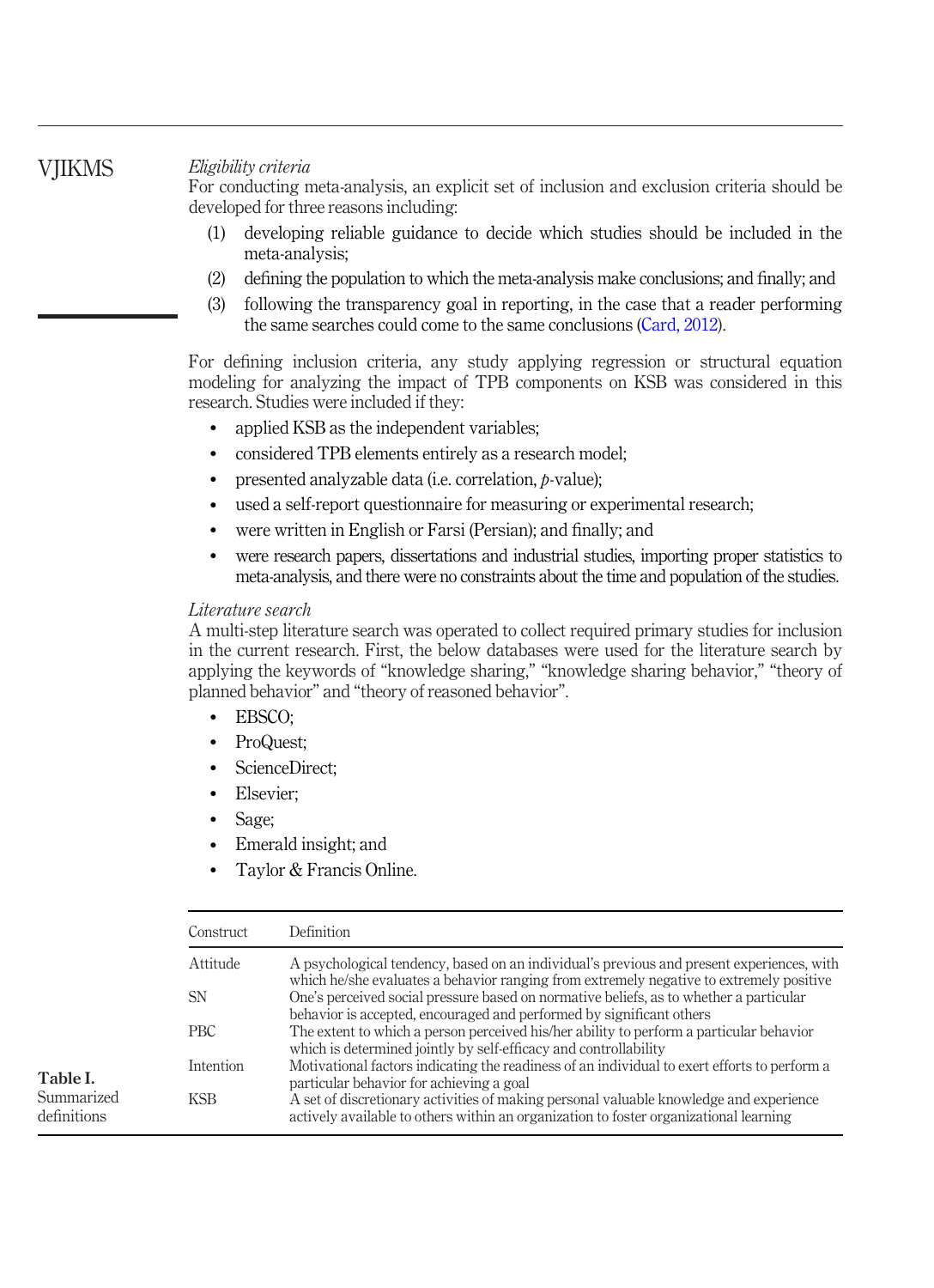# **VIIKMS**

<span id="page-5-0"></span>Table I. Summarized definitions

Eligibility criteria

For conducting meta-analysis, an explicit set of inclusion and exclusion criteria should be developed for three reasons including:

- (1) developing reliable guidance to decide which studies should be included in the meta-analysis;
- (2) defining the population to which the meta-analysis make conclusions; and finally; and
- (3) following the transparency goal in reporting, in the case that a reader performing the same searches could come to the same conclusions ([Card, 2012](#page-18-10)).

For defining inclusion criteria, any study applying regression or structural equation modeling for analyzing the impact of TPB components on KSB was considered in this research. Studies were included if they:

- applied KSB as the independent variables;
- considered TPB elements entirely as a research model;
- presented analyzable data (i.e. correlation, *p*-value);
- used a self-report questionnaire for measuring or experimental research;
- were written in English or Farsi (Persian); and finally; and
- were research papers, dissertations and industrial studies, importing proper statistics to meta-analysis, and there were no constraints about the time and population of the studies.

### Literature search

A multi-step literature search was operated to collect required primary studies for inclusion in the current research. First, the below databases were used for the literature search by applying the keywords of "knowledge sharing," "knowledge sharing behavior," "theory of planned behavior" and "theory of reasoned behavior".

- EBSCO;
- ProQuest;
- ScienceDirect;
- Elsevier:
- Sage;
- Emerald insight; and
- Taylor & Francis Online.

| Construct       | Definition                                                                                                                                                                           |
|-----------------|--------------------------------------------------------------------------------------------------------------------------------------------------------------------------------------|
| <b>Attitude</b> | A psychological tendency, based on an individual's previous and present experiences, with<br>which he/she evaluates a behavior ranging from extremely negative to extremely positive |
| SN              | One's perceived social pressure based on normative beliefs, as to whether a particular<br>behavior is accepted, encouraged and performed by significant others                       |
| <b>PBC</b>      | The extent to which a person perceived his/her ability to perform a particular behavior<br>which is determined jointly by self-efficacy and controllability                          |
| Intention       | Motivational factors indicating the readiness of an individual to exert efforts to perform a<br>particular behavior for achieving a goal                                             |
| <b>KSB</b>      | A set of discretionary activities of making personal valuable knowledge and experience<br>actively available to others within an organization to foster organizational learning      |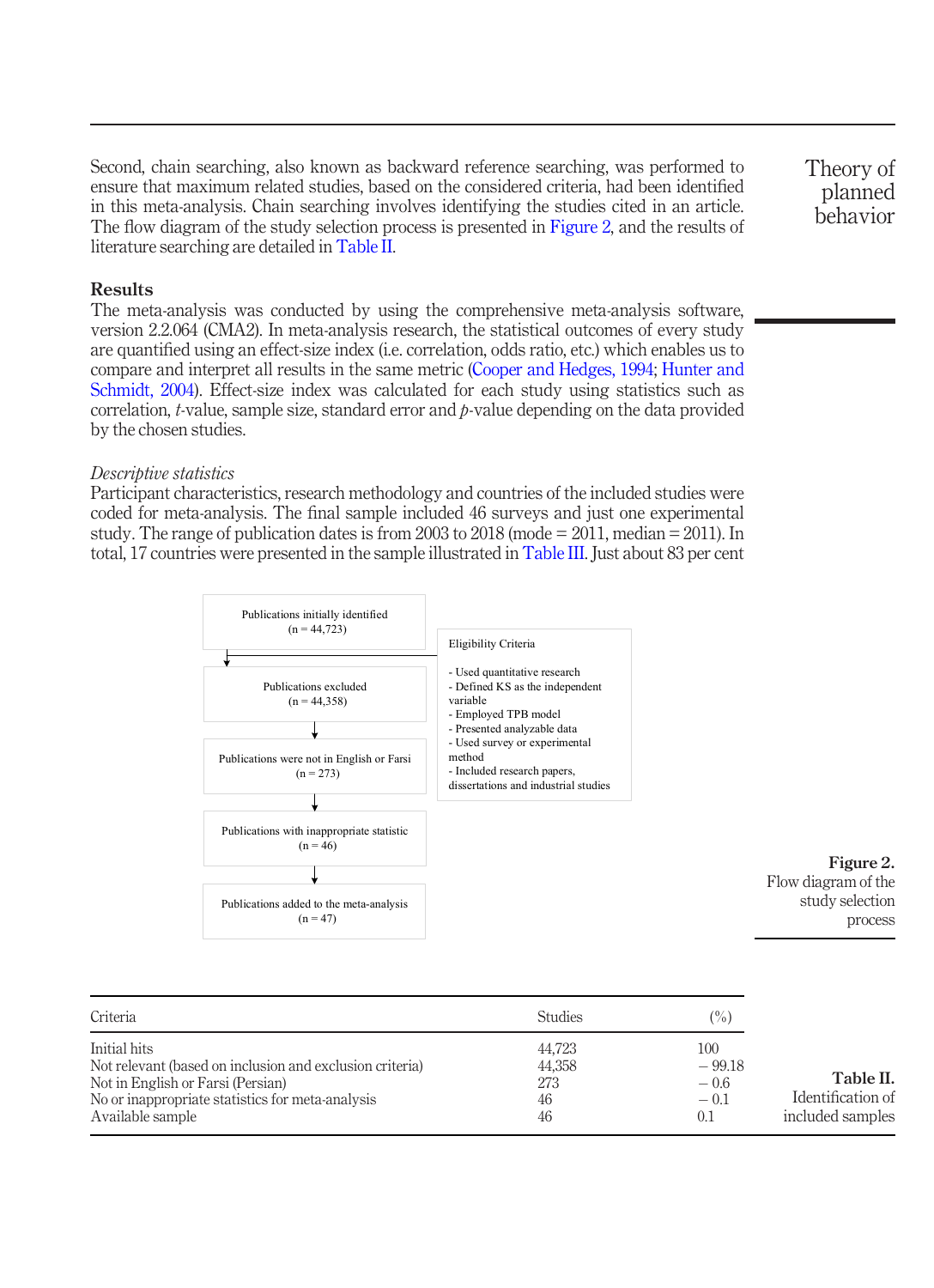Second, chain searching, also known as backward reference searching, was performed to ensure that maximum related studies, based on the considered criteria, had been identified in this meta-analysis. Chain searching involves identifying the studies cited in an article. The flow diagram of the study selection process is presented in [Figure 2,](#page-6-0) and the results of literature searching are detailed in [Table II](#page-6-1).

#### Results

The meta-analysis was conducted by using the comprehensive meta-analysis software, version 2.2.064 (CMA2). In meta-analysis research, the statistical outcomes of every study are quantified using an effect-size index (i.e. correlation, odds ratio, etc.) which enables us to compare and interpret all results in the same metric ([Cooper and Hedges, 1994](#page-18-11); [Hunter and](#page-19-4) [Schmidt, 2004\)](#page-19-4). Effect-size index was calculated for each study using statistics such as correlation,  $t$ -value, sample size, standard error and  $b$ -value depending on the data provided by the chosen studies.

#### Descriptive statistics

Participant characteristics, research methodology and countries of the included studies were coded for meta-analysis. The final sample included 46 surveys and just one experimental study. The range of publication dates is from 2003 to 2018 (mode = 2011, median = 2011). In total, 17 countries were presented in the sample illustrated in [Table III.](#page-7-0) Just about 83 per cent



| Criteria                                                 | <b>Studies</b> | (%)      |                   |
|----------------------------------------------------------|----------------|----------|-------------------|
| Initial hits                                             | 44.723         | 100      |                   |
| Not relevant (based on inclusion and exclusion criteria) | 44.358         | $-99.18$ |                   |
| Not in English or Farsi (Persian)                        | 273            | $-0.6$   | Table II.         |
| No or inappropriate statistics for meta-analysis         | 46             | $-0.1$   | Identification of |
| Available sample                                         | 46             | 0.1      | included samples  |

Theory of planned behavior

<span id="page-6-1"></span><span id="page-6-0"></span>Figure 2. Flow diagram of the study selection process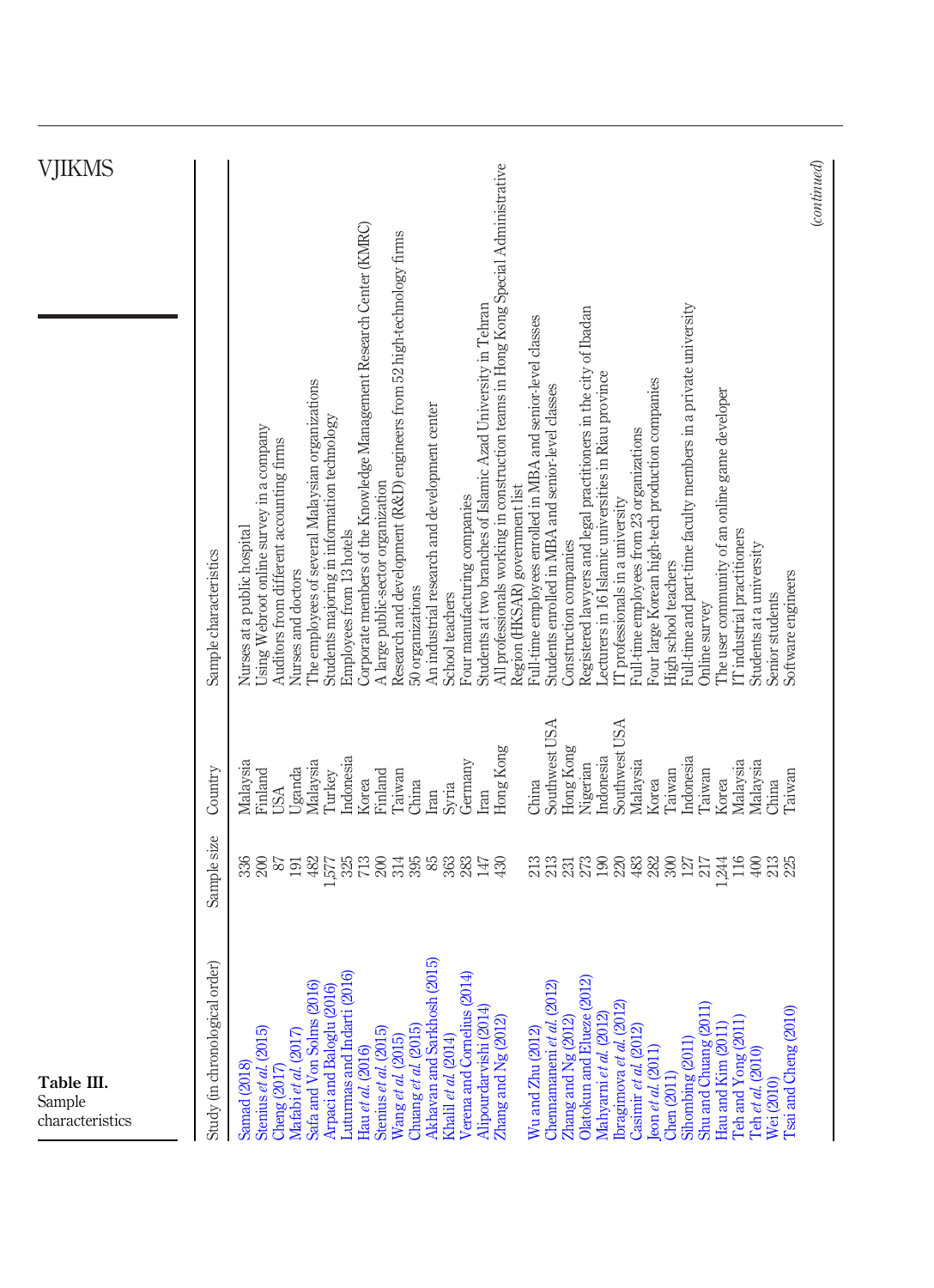<span id="page-7-0"></span>

| (continued)<br>All professionals working in construction teams in Hong Kong Special Administrative<br>Corporate members of the Knowledge Management Research Center (KMRC)<br>Research and development (R&D) engineers from 52 high-technology firms<br>Students at two branches of Islamic Azad University in Tehran<br>Full-time and part-time faculty members in a private university<br>Registered lawyers and legal practitioners in the city of Ibadan<br>Full-time employees enrolled in MBA and senior-level classes<br>Lecturers in 16 Islamic universities in Riau province<br>The employees of several Malaysian organizations<br>Four large Korean high-tech production companies<br>Students enrolled in MBA and senior-level classes<br>The user community of an online game developer<br>An industrial research and development center<br>Students majoring in information technology<br>Jsing Webroot online survey in a company<br>Full-time employees from 23 organizations<br>Auditors from different accounting firms<br>A large public-sector organization<br>Region (HKSAR) government list<br>Four manufacturing companies<br>IT professionals in a university<br>Nurses at a public hospital<br>Employees from 13 hotels<br>IT industrial practitioners<br>Construction companies<br>Students at a university<br>Sample characteristics<br>High school teachers<br>Nurses and doctors<br>Software engineers<br>50 organizations<br>School teachers<br>Senior students<br>Online survey<br>Southwest USA<br>Southwest USA<br>Hong Kong<br>Hong Kong<br>ndonesia<br>Indonesia<br>Indonesia<br>Malaysia<br>Malaysia<br>Germany<br>Malaysia<br>Malaysia<br>Malaysia<br>Nigerian<br><b>Jganda</b><br>Country<br>Taiwan<br>Turkey<br>Finland<br>Taiwan<br>Finland<br>Taiwan<br>Taiwan<br>Korea<br>Korea<br>Korea<br>China<br>China<br>China<br>Syria<br><b>USA</b><br>m<br>Iran<br>Sample size<br>$325 \overline{1}$<br>200<br>395<br>116<br>$400$<br>200<br>$87\,$<br>482<br>85<br>363<br>283<br>$\frac{3}{23}$<br>$273 \overline{\smash{\big)}\ 190}$<br>220<br>483<br>282<br>300<br>213<br>336<br>147<br>430<br>$\frac{127}{217}$<br>244<br>191<br>777<br>2015)<br>Study (in chronological order)<br>$\mathbf{6}$<br>$\overline{4}$<br>ন<br>(2012)<br>Safa and Von Solms (2016)<br>Arpaci and Baloglu (2016)<br>Olatokun and Elueze (201<br>Luturmas and Indarti (20<br>Verena and Cornelius (20<br>Akhavan and Sarkhosh<br>Ibragimova et al. (2012)<br>Alipourdarvishi (2014)<br>Shu and Chuang (2011<br>[Sai and Cheng (2010)<br>Mahyarni et al. (2012<br>Zhang and Ng (2012)<br>$Z$ hang and $Ng$ (2012)<br>Teh and Yong (2011<br>Chennamaneni et al.<br>Chuang et al. $(2015)$<br>Hau and Kim (2011<br>Casimir et al. (2012)<br>Stenius et al. (2015)<br>Stenius et al. (2015)<br>Mafabi et al. (2017)<br>Wu and Zhu (2012)<br>Wang et al. (2015)<br>Khalil et al. (2014)<br>Sihombing (2011)<br>$\epsilon$ on et al. $(2011)$<br>Hau et al. (2016)<br>Teh et al. (2010)<br>Samad (2018)<br>Cheng $(2017)$<br>Chen (2011)<br>Wei (2010) | Table III.<br>Sample<br>characteristics |  | VJIKMS |
|------------------------------------------------------------------------------------------------------------------------------------------------------------------------------------------------------------------------------------------------------------------------------------------------------------------------------------------------------------------------------------------------------------------------------------------------------------------------------------------------------------------------------------------------------------------------------------------------------------------------------------------------------------------------------------------------------------------------------------------------------------------------------------------------------------------------------------------------------------------------------------------------------------------------------------------------------------------------------------------------------------------------------------------------------------------------------------------------------------------------------------------------------------------------------------------------------------------------------------------------------------------------------------------------------------------------------------------------------------------------------------------------------------------------------------------------------------------------------------------------------------------------------------------------------------------------------------------------------------------------------------------------------------------------------------------------------------------------------------------------------------------------------------------------------------------------------------------------------------------------------------------------------------------------------------------------------------------------------------------------------------------------------------------------------------------------------------------------------------------------------------------------------------------------------------------------------------------------------------------------------------------------------------------------------------------------------------------------------------------------------------------------------------------------------------------------------------------------------------------------------------------------------------------------------------------------------------------------------------------------------------------------------------------------------------------------------------------------------------------------------------------------------------------------------------------------------------------------------------------------------------------------------------------------------------------------------------------------------------------------------------------------------------------------------------------|-----------------------------------------|--|--------|
|                                                                                                                                                                                                                                                                                                                                                                                                                                                                                                                                                                                                                                                                                                                                                                                                                                                                                                                                                                                                                                                                                                                                                                                                                                                                                                                                                                                                                                                                                                                                                                                                                                                                                                                                                                                                                                                                                                                                                                                                                                                                                                                                                                                                                                                                                                                                                                                                                                                                                                                                                                                                                                                                                                                                                                                                                                                                                                                                                                                                                                                                  |                                         |  |        |
|                                                                                                                                                                                                                                                                                                                                                                                                                                                                                                                                                                                                                                                                                                                                                                                                                                                                                                                                                                                                                                                                                                                                                                                                                                                                                                                                                                                                                                                                                                                                                                                                                                                                                                                                                                                                                                                                                                                                                                                                                                                                                                                                                                                                                                                                                                                                                                                                                                                                                                                                                                                                                                                                                                                                                                                                                                                                                                                                                                                                                                                                  |                                         |  |        |
|                                                                                                                                                                                                                                                                                                                                                                                                                                                                                                                                                                                                                                                                                                                                                                                                                                                                                                                                                                                                                                                                                                                                                                                                                                                                                                                                                                                                                                                                                                                                                                                                                                                                                                                                                                                                                                                                                                                                                                                                                                                                                                                                                                                                                                                                                                                                                                                                                                                                                                                                                                                                                                                                                                                                                                                                                                                                                                                                                                                                                                                                  |                                         |  |        |
|                                                                                                                                                                                                                                                                                                                                                                                                                                                                                                                                                                                                                                                                                                                                                                                                                                                                                                                                                                                                                                                                                                                                                                                                                                                                                                                                                                                                                                                                                                                                                                                                                                                                                                                                                                                                                                                                                                                                                                                                                                                                                                                                                                                                                                                                                                                                                                                                                                                                                                                                                                                                                                                                                                                                                                                                                                                                                                                                                                                                                                                                  |                                         |  |        |
|                                                                                                                                                                                                                                                                                                                                                                                                                                                                                                                                                                                                                                                                                                                                                                                                                                                                                                                                                                                                                                                                                                                                                                                                                                                                                                                                                                                                                                                                                                                                                                                                                                                                                                                                                                                                                                                                                                                                                                                                                                                                                                                                                                                                                                                                                                                                                                                                                                                                                                                                                                                                                                                                                                                                                                                                                                                                                                                                                                                                                                                                  |                                         |  |        |
|                                                                                                                                                                                                                                                                                                                                                                                                                                                                                                                                                                                                                                                                                                                                                                                                                                                                                                                                                                                                                                                                                                                                                                                                                                                                                                                                                                                                                                                                                                                                                                                                                                                                                                                                                                                                                                                                                                                                                                                                                                                                                                                                                                                                                                                                                                                                                                                                                                                                                                                                                                                                                                                                                                                                                                                                                                                                                                                                                                                                                                                                  |                                         |  |        |
|                                                                                                                                                                                                                                                                                                                                                                                                                                                                                                                                                                                                                                                                                                                                                                                                                                                                                                                                                                                                                                                                                                                                                                                                                                                                                                                                                                                                                                                                                                                                                                                                                                                                                                                                                                                                                                                                                                                                                                                                                                                                                                                                                                                                                                                                                                                                                                                                                                                                                                                                                                                                                                                                                                                                                                                                                                                                                                                                                                                                                                                                  |                                         |  |        |
|                                                                                                                                                                                                                                                                                                                                                                                                                                                                                                                                                                                                                                                                                                                                                                                                                                                                                                                                                                                                                                                                                                                                                                                                                                                                                                                                                                                                                                                                                                                                                                                                                                                                                                                                                                                                                                                                                                                                                                                                                                                                                                                                                                                                                                                                                                                                                                                                                                                                                                                                                                                                                                                                                                                                                                                                                                                                                                                                                                                                                                                                  |                                         |  |        |
|                                                                                                                                                                                                                                                                                                                                                                                                                                                                                                                                                                                                                                                                                                                                                                                                                                                                                                                                                                                                                                                                                                                                                                                                                                                                                                                                                                                                                                                                                                                                                                                                                                                                                                                                                                                                                                                                                                                                                                                                                                                                                                                                                                                                                                                                                                                                                                                                                                                                                                                                                                                                                                                                                                                                                                                                                                                                                                                                                                                                                                                                  |                                         |  |        |
|                                                                                                                                                                                                                                                                                                                                                                                                                                                                                                                                                                                                                                                                                                                                                                                                                                                                                                                                                                                                                                                                                                                                                                                                                                                                                                                                                                                                                                                                                                                                                                                                                                                                                                                                                                                                                                                                                                                                                                                                                                                                                                                                                                                                                                                                                                                                                                                                                                                                                                                                                                                                                                                                                                                                                                                                                                                                                                                                                                                                                                                                  |                                         |  |        |
|                                                                                                                                                                                                                                                                                                                                                                                                                                                                                                                                                                                                                                                                                                                                                                                                                                                                                                                                                                                                                                                                                                                                                                                                                                                                                                                                                                                                                                                                                                                                                                                                                                                                                                                                                                                                                                                                                                                                                                                                                                                                                                                                                                                                                                                                                                                                                                                                                                                                                                                                                                                                                                                                                                                                                                                                                                                                                                                                                                                                                                                                  |                                         |  |        |
|                                                                                                                                                                                                                                                                                                                                                                                                                                                                                                                                                                                                                                                                                                                                                                                                                                                                                                                                                                                                                                                                                                                                                                                                                                                                                                                                                                                                                                                                                                                                                                                                                                                                                                                                                                                                                                                                                                                                                                                                                                                                                                                                                                                                                                                                                                                                                                                                                                                                                                                                                                                                                                                                                                                                                                                                                                                                                                                                                                                                                                                                  |                                         |  |        |
|                                                                                                                                                                                                                                                                                                                                                                                                                                                                                                                                                                                                                                                                                                                                                                                                                                                                                                                                                                                                                                                                                                                                                                                                                                                                                                                                                                                                                                                                                                                                                                                                                                                                                                                                                                                                                                                                                                                                                                                                                                                                                                                                                                                                                                                                                                                                                                                                                                                                                                                                                                                                                                                                                                                                                                                                                                                                                                                                                                                                                                                                  |                                         |  |        |
|                                                                                                                                                                                                                                                                                                                                                                                                                                                                                                                                                                                                                                                                                                                                                                                                                                                                                                                                                                                                                                                                                                                                                                                                                                                                                                                                                                                                                                                                                                                                                                                                                                                                                                                                                                                                                                                                                                                                                                                                                                                                                                                                                                                                                                                                                                                                                                                                                                                                                                                                                                                                                                                                                                                                                                                                                                                                                                                                                                                                                                                                  |                                         |  |        |
|                                                                                                                                                                                                                                                                                                                                                                                                                                                                                                                                                                                                                                                                                                                                                                                                                                                                                                                                                                                                                                                                                                                                                                                                                                                                                                                                                                                                                                                                                                                                                                                                                                                                                                                                                                                                                                                                                                                                                                                                                                                                                                                                                                                                                                                                                                                                                                                                                                                                                                                                                                                                                                                                                                                                                                                                                                                                                                                                                                                                                                                                  |                                         |  |        |
|                                                                                                                                                                                                                                                                                                                                                                                                                                                                                                                                                                                                                                                                                                                                                                                                                                                                                                                                                                                                                                                                                                                                                                                                                                                                                                                                                                                                                                                                                                                                                                                                                                                                                                                                                                                                                                                                                                                                                                                                                                                                                                                                                                                                                                                                                                                                                                                                                                                                                                                                                                                                                                                                                                                                                                                                                                                                                                                                                                                                                                                                  |                                         |  |        |
|                                                                                                                                                                                                                                                                                                                                                                                                                                                                                                                                                                                                                                                                                                                                                                                                                                                                                                                                                                                                                                                                                                                                                                                                                                                                                                                                                                                                                                                                                                                                                                                                                                                                                                                                                                                                                                                                                                                                                                                                                                                                                                                                                                                                                                                                                                                                                                                                                                                                                                                                                                                                                                                                                                                                                                                                                                                                                                                                                                                                                                                                  |                                         |  |        |
|                                                                                                                                                                                                                                                                                                                                                                                                                                                                                                                                                                                                                                                                                                                                                                                                                                                                                                                                                                                                                                                                                                                                                                                                                                                                                                                                                                                                                                                                                                                                                                                                                                                                                                                                                                                                                                                                                                                                                                                                                                                                                                                                                                                                                                                                                                                                                                                                                                                                                                                                                                                                                                                                                                                                                                                                                                                                                                                                                                                                                                                                  |                                         |  |        |
|                                                                                                                                                                                                                                                                                                                                                                                                                                                                                                                                                                                                                                                                                                                                                                                                                                                                                                                                                                                                                                                                                                                                                                                                                                                                                                                                                                                                                                                                                                                                                                                                                                                                                                                                                                                                                                                                                                                                                                                                                                                                                                                                                                                                                                                                                                                                                                                                                                                                                                                                                                                                                                                                                                                                                                                                                                                                                                                                                                                                                                                                  |                                         |  |        |
|                                                                                                                                                                                                                                                                                                                                                                                                                                                                                                                                                                                                                                                                                                                                                                                                                                                                                                                                                                                                                                                                                                                                                                                                                                                                                                                                                                                                                                                                                                                                                                                                                                                                                                                                                                                                                                                                                                                                                                                                                                                                                                                                                                                                                                                                                                                                                                                                                                                                                                                                                                                                                                                                                                                                                                                                                                                                                                                                                                                                                                                                  |                                         |  |        |
|                                                                                                                                                                                                                                                                                                                                                                                                                                                                                                                                                                                                                                                                                                                                                                                                                                                                                                                                                                                                                                                                                                                                                                                                                                                                                                                                                                                                                                                                                                                                                                                                                                                                                                                                                                                                                                                                                                                                                                                                                                                                                                                                                                                                                                                                                                                                                                                                                                                                                                                                                                                                                                                                                                                                                                                                                                                                                                                                                                                                                                                                  |                                         |  |        |
|                                                                                                                                                                                                                                                                                                                                                                                                                                                                                                                                                                                                                                                                                                                                                                                                                                                                                                                                                                                                                                                                                                                                                                                                                                                                                                                                                                                                                                                                                                                                                                                                                                                                                                                                                                                                                                                                                                                                                                                                                                                                                                                                                                                                                                                                                                                                                                                                                                                                                                                                                                                                                                                                                                                                                                                                                                                                                                                                                                                                                                                                  |                                         |  |        |
|                                                                                                                                                                                                                                                                                                                                                                                                                                                                                                                                                                                                                                                                                                                                                                                                                                                                                                                                                                                                                                                                                                                                                                                                                                                                                                                                                                                                                                                                                                                                                                                                                                                                                                                                                                                                                                                                                                                                                                                                                                                                                                                                                                                                                                                                                                                                                                                                                                                                                                                                                                                                                                                                                                                                                                                                                                                                                                                                                                                                                                                                  |                                         |  |        |
|                                                                                                                                                                                                                                                                                                                                                                                                                                                                                                                                                                                                                                                                                                                                                                                                                                                                                                                                                                                                                                                                                                                                                                                                                                                                                                                                                                                                                                                                                                                                                                                                                                                                                                                                                                                                                                                                                                                                                                                                                                                                                                                                                                                                                                                                                                                                                                                                                                                                                                                                                                                                                                                                                                                                                                                                                                                                                                                                                                                                                                                                  |                                         |  |        |
|                                                                                                                                                                                                                                                                                                                                                                                                                                                                                                                                                                                                                                                                                                                                                                                                                                                                                                                                                                                                                                                                                                                                                                                                                                                                                                                                                                                                                                                                                                                                                                                                                                                                                                                                                                                                                                                                                                                                                                                                                                                                                                                                                                                                                                                                                                                                                                                                                                                                                                                                                                                                                                                                                                                                                                                                                                                                                                                                                                                                                                                                  |                                         |  |        |
|                                                                                                                                                                                                                                                                                                                                                                                                                                                                                                                                                                                                                                                                                                                                                                                                                                                                                                                                                                                                                                                                                                                                                                                                                                                                                                                                                                                                                                                                                                                                                                                                                                                                                                                                                                                                                                                                                                                                                                                                                                                                                                                                                                                                                                                                                                                                                                                                                                                                                                                                                                                                                                                                                                                                                                                                                                                                                                                                                                                                                                                                  |                                         |  |        |
|                                                                                                                                                                                                                                                                                                                                                                                                                                                                                                                                                                                                                                                                                                                                                                                                                                                                                                                                                                                                                                                                                                                                                                                                                                                                                                                                                                                                                                                                                                                                                                                                                                                                                                                                                                                                                                                                                                                                                                                                                                                                                                                                                                                                                                                                                                                                                                                                                                                                                                                                                                                                                                                                                                                                                                                                                                                                                                                                                                                                                                                                  |                                         |  |        |
|                                                                                                                                                                                                                                                                                                                                                                                                                                                                                                                                                                                                                                                                                                                                                                                                                                                                                                                                                                                                                                                                                                                                                                                                                                                                                                                                                                                                                                                                                                                                                                                                                                                                                                                                                                                                                                                                                                                                                                                                                                                                                                                                                                                                                                                                                                                                                                                                                                                                                                                                                                                                                                                                                                                                                                                                                                                                                                                                                                                                                                                                  |                                         |  |        |
|                                                                                                                                                                                                                                                                                                                                                                                                                                                                                                                                                                                                                                                                                                                                                                                                                                                                                                                                                                                                                                                                                                                                                                                                                                                                                                                                                                                                                                                                                                                                                                                                                                                                                                                                                                                                                                                                                                                                                                                                                                                                                                                                                                                                                                                                                                                                                                                                                                                                                                                                                                                                                                                                                                                                                                                                                                                                                                                                                                                                                                                                  |                                         |  |        |
|                                                                                                                                                                                                                                                                                                                                                                                                                                                                                                                                                                                                                                                                                                                                                                                                                                                                                                                                                                                                                                                                                                                                                                                                                                                                                                                                                                                                                                                                                                                                                                                                                                                                                                                                                                                                                                                                                                                                                                                                                                                                                                                                                                                                                                                                                                                                                                                                                                                                                                                                                                                                                                                                                                                                                                                                                                                                                                                                                                                                                                                                  |                                         |  |        |
|                                                                                                                                                                                                                                                                                                                                                                                                                                                                                                                                                                                                                                                                                                                                                                                                                                                                                                                                                                                                                                                                                                                                                                                                                                                                                                                                                                                                                                                                                                                                                                                                                                                                                                                                                                                                                                                                                                                                                                                                                                                                                                                                                                                                                                                                                                                                                                                                                                                                                                                                                                                                                                                                                                                                                                                                                                                                                                                                                                                                                                                                  |                                         |  |        |
|                                                                                                                                                                                                                                                                                                                                                                                                                                                                                                                                                                                                                                                                                                                                                                                                                                                                                                                                                                                                                                                                                                                                                                                                                                                                                                                                                                                                                                                                                                                                                                                                                                                                                                                                                                                                                                                                                                                                                                                                                                                                                                                                                                                                                                                                                                                                                                                                                                                                                                                                                                                                                                                                                                                                                                                                                                                                                                                                                                                                                                                                  |                                         |  |        |
|                                                                                                                                                                                                                                                                                                                                                                                                                                                                                                                                                                                                                                                                                                                                                                                                                                                                                                                                                                                                                                                                                                                                                                                                                                                                                                                                                                                                                                                                                                                                                                                                                                                                                                                                                                                                                                                                                                                                                                                                                                                                                                                                                                                                                                                                                                                                                                                                                                                                                                                                                                                                                                                                                                                                                                                                                                                                                                                                                                                                                                                                  |                                         |  |        |
|                                                                                                                                                                                                                                                                                                                                                                                                                                                                                                                                                                                                                                                                                                                                                                                                                                                                                                                                                                                                                                                                                                                                                                                                                                                                                                                                                                                                                                                                                                                                                                                                                                                                                                                                                                                                                                                                                                                                                                                                                                                                                                                                                                                                                                                                                                                                                                                                                                                                                                                                                                                                                                                                                                                                                                                                                                                                                                                                                                                                                                                                  |                                         |  |        |
|                                                                                                                                                                                                                                                                                                                                                                                                                                                                                                                                                                                                                                                                                                                                                                                                                                                                                                                                                                                                                                                                                                                                                                                                                                                                                                                                                                                                                                                                                                                                                                                                                                                                                                                                                                                                                                                                                                                                                                                                                                                                                                                                                                                                                                                                                                                                                                                                                                                                                                                                                                                                                                                                                                                                                                                                                                                                                                                                                                                                                                                                  |                                         |  |        |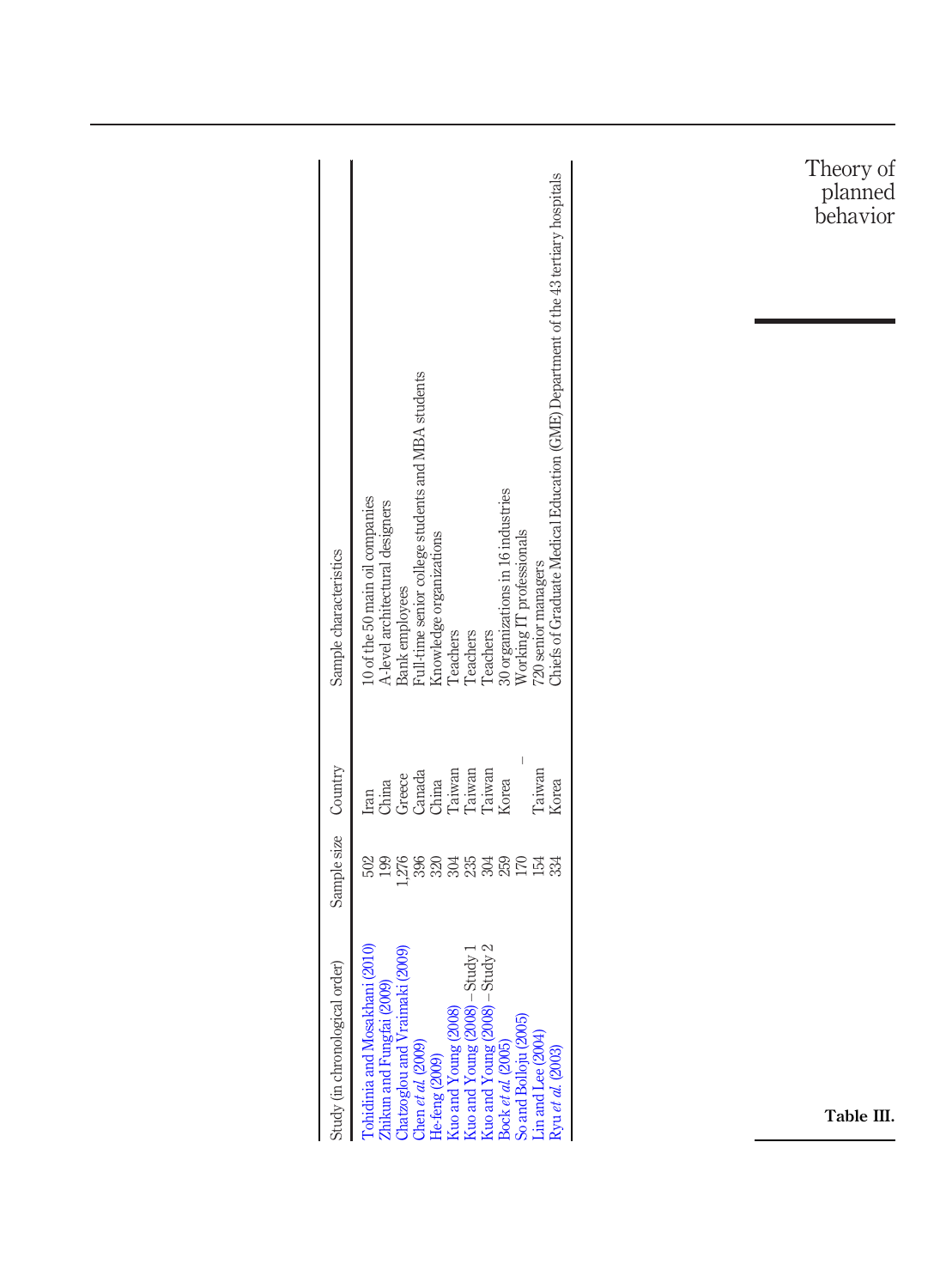|                                |                                                                                                                                                                                                                                                                                                                                                                                         | Theory of<br>planned<br>behavior |
|--------------------------------|-----------------------------------------------------------------------------------------------------------------------------------------------------------------------------------------------------------------------------------------------------------------------------------------------------------------------------------------------------------------------------------------|----------------------------------|
| Sample characteristics         | Chiefs of Graduate Medical Education (GME) Department of the 43 tertiary hospitals<br>Full-time senior college students and MBA students<br>30 organizations in 16 industries<br>10 of the 50 main oil companies<br>A-level architectural designers<br>Working IT professionals<br>Knowledge organizations<br>720 senior managers<br>Bank employees<br>Teachers<br>Teachers<br>Teachers |                                  |
| Country                        | Taiwan<br>Taiwan<br>Taiwan<br>Taiwan<br>Canada<br>China<br>Greece<br>Iran<br>China<br>Korea<br>Korea                                                                                                                                                                                                                                                                                    |                                  |
| Sample size                    | 199<br><u>ដ</u> ្ឋី និង និង និ<br>$\begin{array}{c} 259 \\ 170 \end{array}$<br>154<br>502<br>334                                                                                                                                                                                                                                                                                        |                                  |
| Study (in chronological order) | Kuo and Young (2008)<br>Kuo and Young (2008) – Study 1<br>Kuo and Young (2008) – Study 2<br>Bock et al. (2005)<br>Tohidinia and Mosakhani (2010)<br>i (2009)<br>Zhikun and Fungfai (2009)<br>Chatzoglou and Vraimak<br>So and Bolloju (2005)<br>Lin and Lee (2004)<br>Chen et al. (2009)<br>Ryu et al. (2003)<br>He-feng (2009)                                                         | Table III.                       |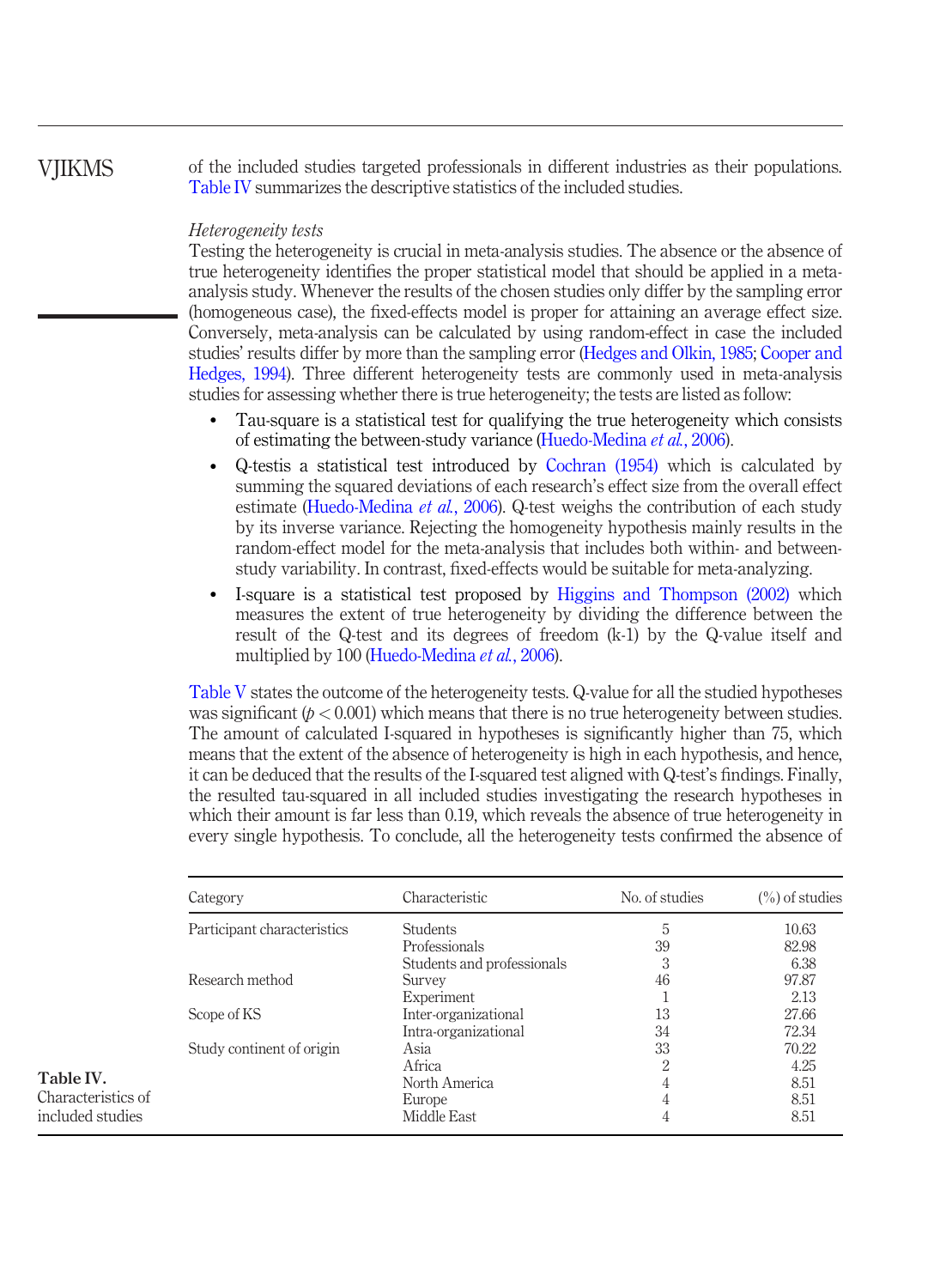**VIIKMS** 

<span id="page-9-0"></span>Table IV. Characteristics of included studies

of the included studies targeted professionals in different industries as their populations. [Table IV](#page-9-0) summarizes the descriptive statistics of the included studies.

#### Heterogeneity tests

Testing the heterogeneity is crucial in meta-analysis studies. The absence or the absence of true heterogeneity identifies the proper statistical model that should be applied in a metaanalysis study. Whenever the results of the chosen studies only differ by the sampling error (homogeneous case), the fixed-effects model is proper for attaining an average effect size. Conversely, meta-analysis can be calculated by using random-effect in case the included studies' results differ by more than the sampling error ([Hedges and Olkin, 1985;](#page-19-16) [Cooper and](#page-18-11) [Hedges, 1994](#page-18-11)). Three different heterogeneity tests are commonly used in meta-analysis studies for assessing whether there is true heterogeneity; the tests are listed as follow:

- Tau-square is a statistical test for qualifying the true heterogeneity which consists of estimating the between-study variance ([Huedo-Medina](#page-19-12) et al., 2006).
- Q-testis a statistical test introduced by [Cochran \(1954\)](#page-18-16) which is calculated by summing the squared deviations of each research's effect size from the overall effect estimate [\(Huedo-Medina](#page-19-12) et al., 2006). Q-test weighs the contribution of each study by its inverse variance. Rejecting the homogeneity hypothesis mainly results in the random-effect model for the meta-analysis that includes both within- and betweenstudy variability. In contrast, fixed-effects would be suitable for meta-analyzing.
- I-square is a statistical test proposed by [Higgins and Thompson \(2002\)](#page-19-17) which measures the extent of true heterogeneity by dividing the difference between the result of the Q-test and its degrees of freedom (k-1) by the Q-value itself and multiplied by 100 ([Huedo-Medina](#page-19-12) et al., 2006).

[Table V](#page-10-0) states the outcome of the heterogeneity tests. Q-value for all the studied hypotheses was significant  $(p < 0.001)$  which means that there is no true heterogeneity between studies. The amount of calculated I-squared in hypotheses is significantly higher than 75, which means that the extent of the absence of heterogeneity is high in each hypothesis, and hence, it can be deduced that the results of the I-squared test aligned with Q-test's findings. Finally, the resulted tau-squared in all included studies investigating the research hypotheses in which their amount is far less than 0.19, which reveals the absence of true heterogeneity in every single hypothesis. To conclude, all the heterogeneity tests confirmed the absence of

| Category                    | Characteristic             | No. of studies | $\binom{0}{0}$ of studies |
|-----------------------------|----------------------------|----------------|---------------------------|
| Participant characteristics | <b>Students</b>            | 5              | 10.63                     |
|                             | Professionals              | 39             | 82.98                     |
|                             | Students and professionals | 3              | 6.38                      |
| Research method             | Survey                     | 46             | 97.87                     |
|                             | Experiment                 |                | 2.13                      |
| Scope of KS                 | Inter-organizational       | 13             | 27.66                     |
|                             | Intra-organizational       | 34             | 72.34                     |
| Study continent of origin   | Asia                       | 33             | 70.22                     |
|                             | Africa                     | 2              | 4.25                      |
|                             | North America              | 4              | 8.51                      |
|                             | Europe                     | 4              | 8.51                      |
|                             | Middle East                | 4              | 8.51                      |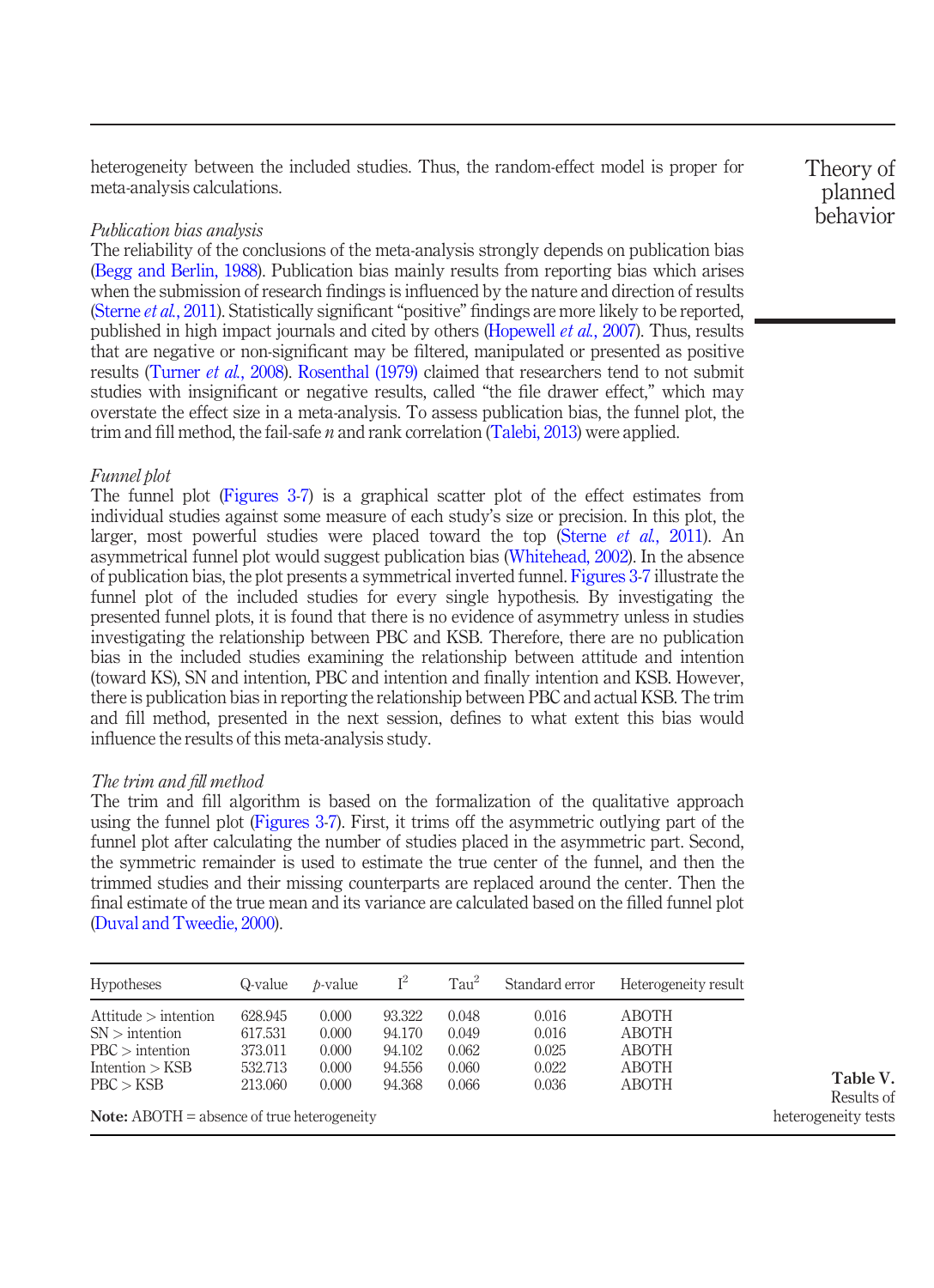heterogeneity between the included studies. Thus, the random-effect model is proper for meta-analysis calculations.

#### Publication bias analysis

The reliability of the conclusions of the meta-analysis strongly depends on publication bias [\(Begg and Berlin, 1988](#page-18-17)). Publication bias mainly results from reporting bias which arises when the submission of research findings is influenced by the nature and direction of results [\(Sterne](#page-21-17) *et al.*, 2011). Statistically significant "positive" findings are more likely to be reported, published in high impact journals and cited by others [\(Hopewell](#page-19-18) *et al.*, 2007). Thus, results that are negative or non-significant may be filtered, manipulated or presented as positive results ([Turner](#page-22-13) *et al.*, 2008). [Rosenthal \(1979\)](#page-21-18) claimed that researchers tend to not submit studies with insignificant or negative results, called "the file drawer effect," which may overstate the effect size in a meta-analysis. To assess publication bias, the funnel plot, the trim and fill method, the fail-safe  $n$  and rank correlation [\(Talebi, 2013\)](#page-22-14) were applied.

#### Funnel plot

The funnel plot [\(Figures 3](#page-11-0)-[7](#page-13-0)) is a graphical scatter plot of the effect estimates from individual studies against some measure of each study's size or precision. In this plot, the larger, most powerful studies were placed toward the top (Sterne *et al.*[, 2011\)](#page-21-17). An asymmetrical funnel plot would suggest publication bias ([Whitehead, 2002\)](#page-22-15). In the absence of publication bias, the plot presents a symmetrical inverted funnel. [Figures 3](#page-11-0)[-7](#page-13-0) illustrate the funnel plot of the included studies for every single hypothesis. By investigating the presented funnel plots, it is found that there is no evidence of asymmetry unless in studies investigating the relationship between PBC and KSB. Therefore, there are no publication bias in the included studies examining the relationship between attitude and intention (toward KS), SN and intention, PBC and intention and finally intention and KSB. However, there is publication bias in reporting the relationship between PBC and actual KSB. The trim and fill method, presented in the next session, defines to what extent this bias would influence the results of this meta-analysis study.

#### The trim and fill method

The trim and fill algorithm is based on the formalization of the qualitative approach using the funnel plot ([Figures 3](#page-11-0)-[7\)](#page-13-0). First, it trims off the asymmetric outlying part of the funnel plot after calculating the number of studies placed in the asymmetric part. Second, the symmetric remainder is used to estimate the true center of the funnel, and then the trimmed studies and their missing counterparts are replaced around the center. Then the final estimate of the true mean and its variance are calculated based on the filled funnel plot [\(Duval and Tweedie, 2000](#page-19-19)).

| $I^2$<br>Tan <sup>2</sup><br>Standard error<br>Heterogeneity result<br><b>Hypotheses</b><br>Q-value<br>$b-value$ |                                                     |                                           |                                                |                                           |                                           |                                                         |  |  |  |
|------------------------------------------------------------------------------------------------------------------|-----------------------------------------------------|-------------------------------------------|------------------------------------------------|-------------------------------------------|-------------------------------------------|---------------------------------------------------------|--|--|--|
| Attitude > intention<br>$SN >$ intention<br>$PBC$ intention<br>Intention $>$ KSB<br>PBC > KSB                    | 628.945<br>617.531<br>373.011<br>532.713<br>213.060 | 0.000<br>0.000<br>0.000<br>0.000<br>0.000 | 93.322<br>94.170<br>94.102<br>94.556<br>94.368 | 0.048<br>0.049<br>0.062<br>0.060<br>0.066 | 0.016<br>0.016<br>0.025<br>0.022<br>0.036 | <b>ABOTH</b><br>ABOTH<br><b>ABOTH</b><br>ABOTH<br>ABOTH |  |  |  |
| <b>Note:</b> $ABOTH = absence of true heterogeneity$                                                             |                                                     |                                           |                                                |                                           |                                           |                                                         |  |  |  |

Theory of planned behavior

<span id="page-10-0"></span>Table V. Results of heterogeneity tests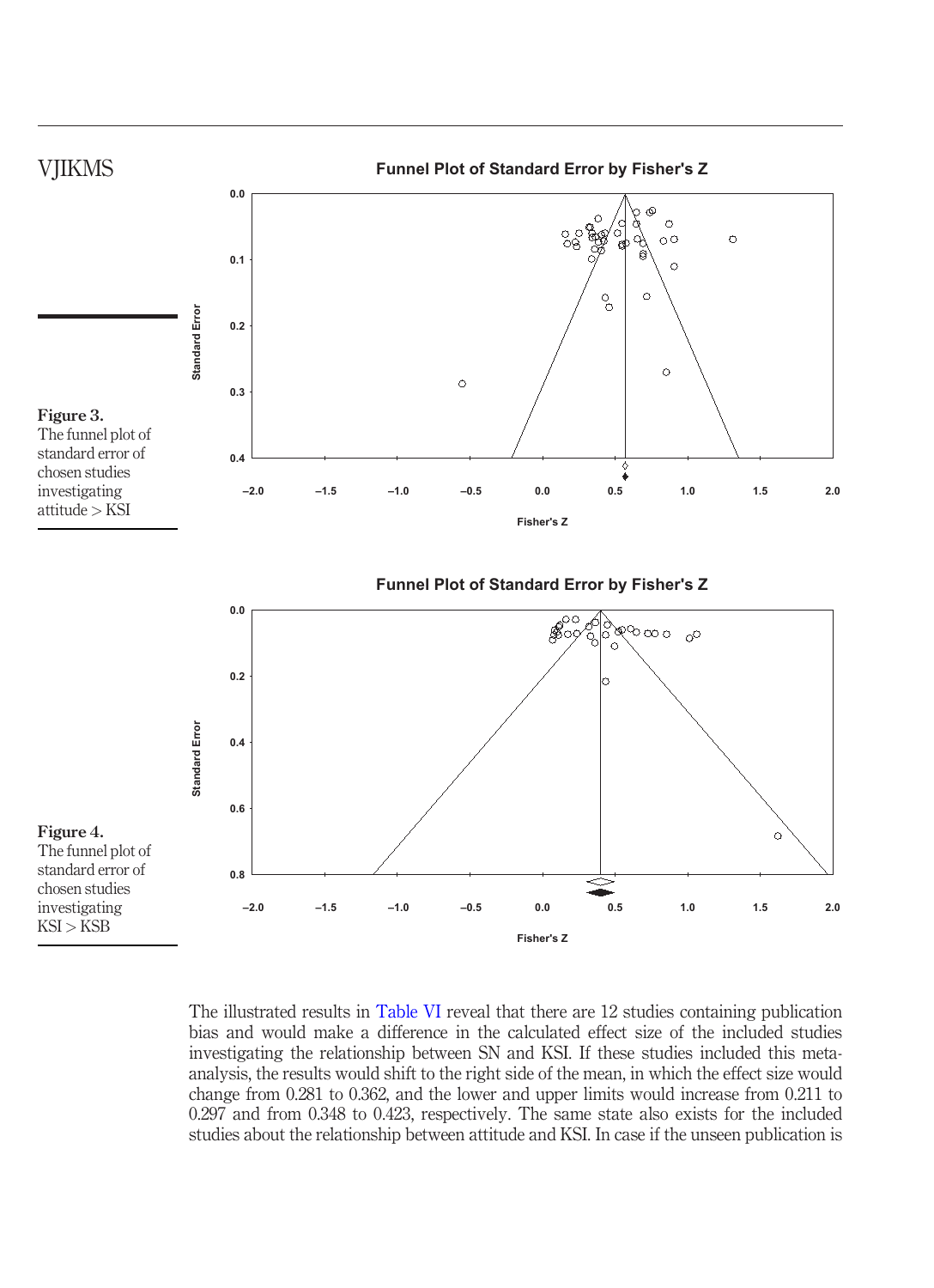<span id="page-11-0"></span>

The illustrated results in [Table VI](#page-13-1) reveal that there are 12 studies containing publication bias and would make a difference in the calculated effect size of the included studies investigating the relationship between SN and KSI. If these studies included this metaanalysis, the results would shift to the right side of the mean, in which the effect size would change from 0.281 to 0.362, and the lower and upper limits would increase from 0.211 to 0.297 and from 0.348 to 0.423, respectively. The same state also exists for the included studies about the relationship between attitude and KSI. In case if the unseen publication is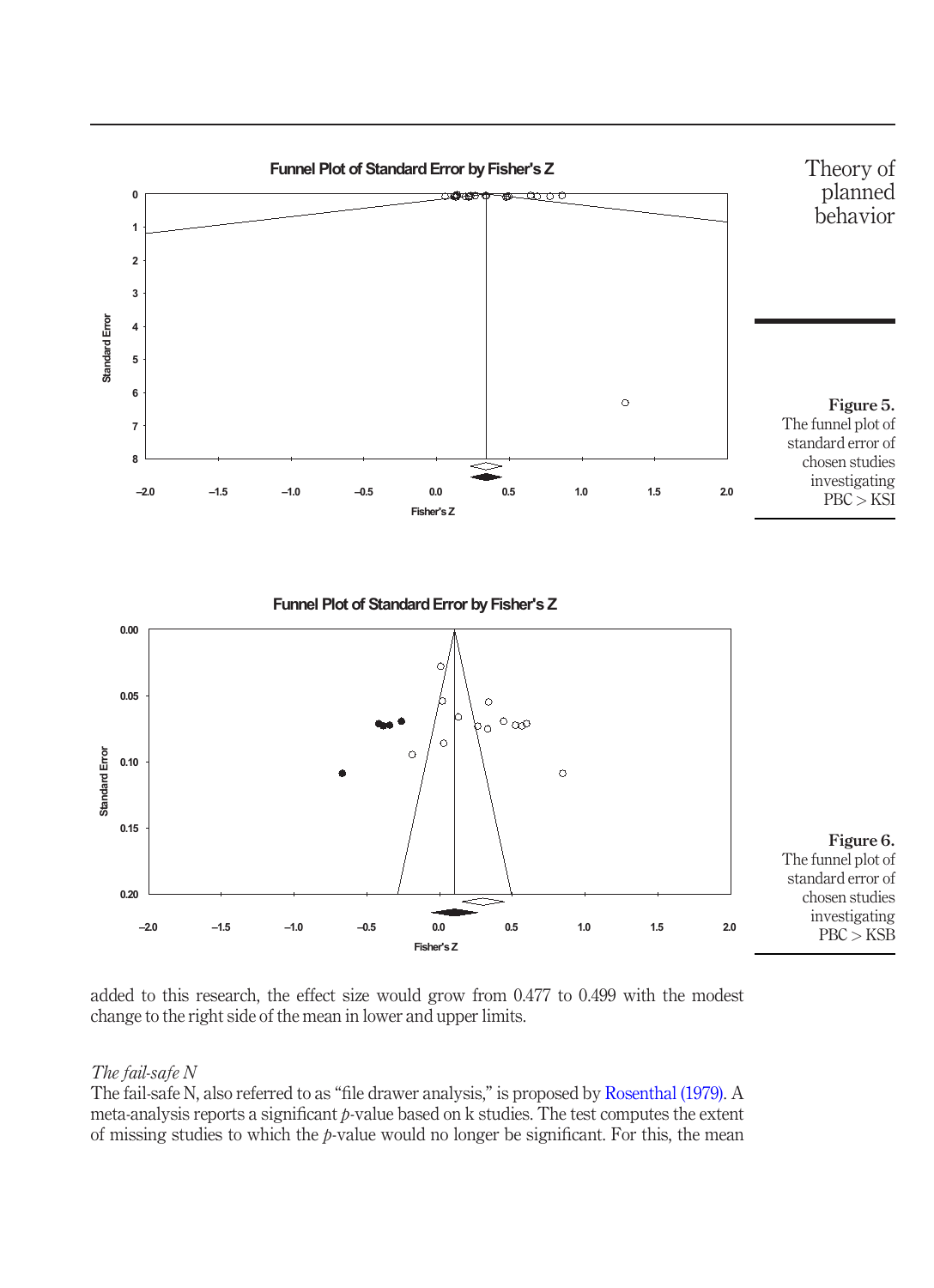

added to this research, the effect size would grow from 0.477 to 0.499 with the modest change to the right side of the mean in lower and upper limits.

### The fail-safe N

The fail-safe N, also referred to as "file drawer analysis," is proposed by [Rosenthal \(1979\)](#page-21-18). A meta-analysis reports a significant  $p$ -value based on  $k$  studies. The test computes the extent of missing studies to which the  $p$ -value would no longer be significant. For this, the mean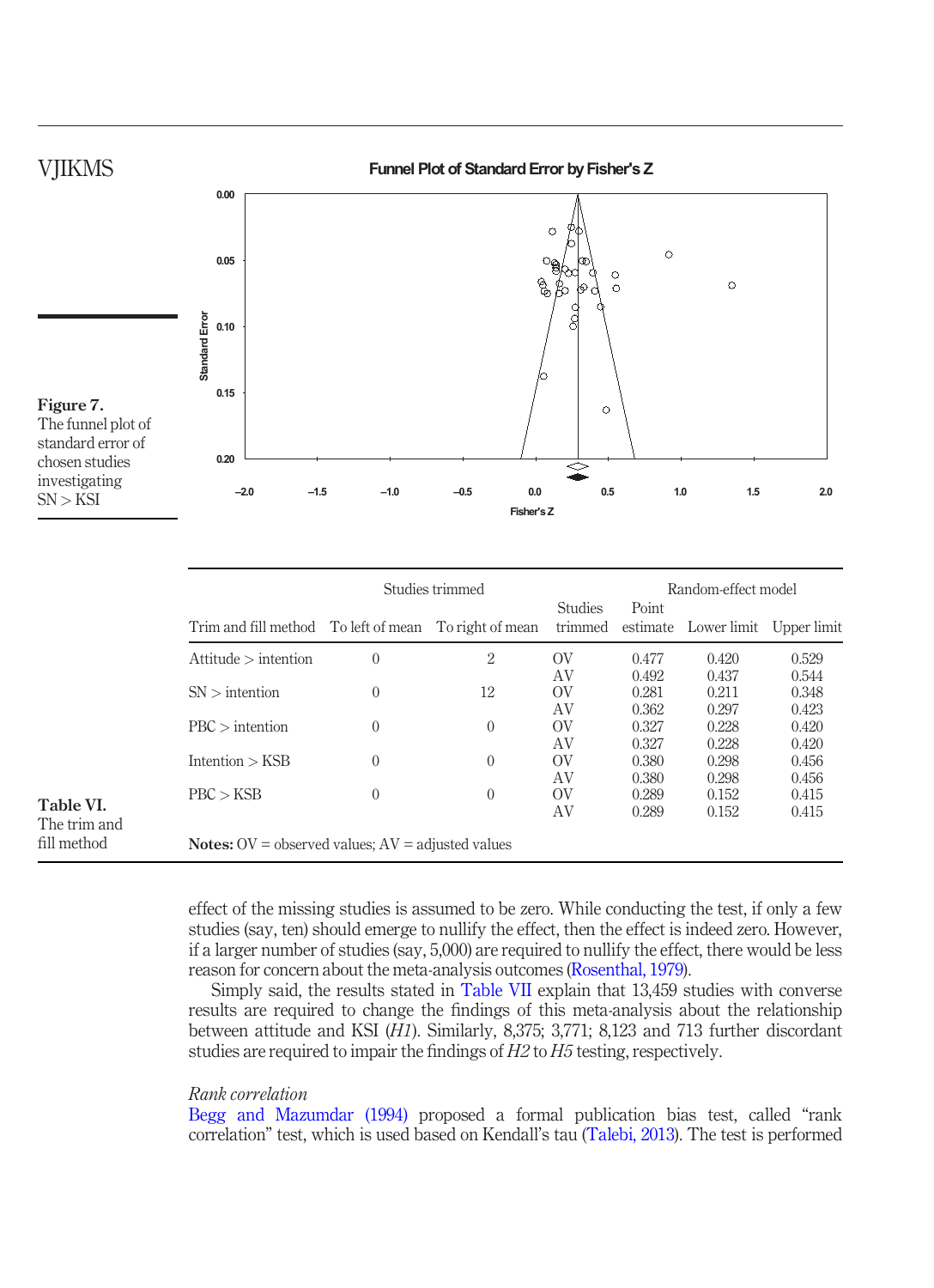

<span id="page-13-0"></span>

|                             |                                                              | Studies trimmed |              |                           | Random-effect model     |                                  |                         |  |
|-----------------------------|--------------------------------------------------------------|-----------------|--------------|---------------------------|-------------------------|----------------------------------|-------------------------|--|
|                             | Trim and fill method To left of mean To right of mean        |                 |              | <b>Studies</b><br>trimmed | Point                   | estimate Lower limit Upper limit |                         |  |
|                             | Attitude > intention                                         | $\mathbf{0}$    | 2            | OV                        | 0.477                   | 0.420                            | 0.529                   |  |
|                             | $SN$ > intention                                             | $\theta$        | 12           | AV<br>OV                  | 0.492<br>0.281          | 0.437<br>0.211                   | 0.544<br>0.348          |  |
|                             | $PBC$ > intention                                            | $\mathbf{0}$    | $\mathbf{0}$ | AV<br>OV<br>AV            | 0.362<br>0.327<br>0.327 | 0.297<br>0.228<br>0.228          | 0.423<br>0.420<br>0.420 |  |
|                             | Intention $>$ KSB                                            | $\theta$        | $\mathbf{0}$ | OV<br>AV                  | 0.380<br>0.380          | 0.298<br>0.298                   | 0.456<br>0.456          |  |
| Table VI.                   | PBC > KSB                                                    | $\theta$        | $\mathbf{0}$ | OV<br>AV                  | 0.289<br>0.289          | 0.152<br>0.152                   | 0.415<br>0.415          |  |
| The trim and<br>fill method | <b>Notes:</b> $OV =$ observed values; $AV =$ adjusted values |                 |              |                           |                         |                                  |                         |  |

<span id="page-13-1"></span>effect of the missing studies is assumed to be zero. While conducting the test, if only a few studies (say, ten) should emerge to nullify the effect, then the effect is indeed zero. However, if a larger number of studies (say, 5,000) are required to nullify the effect, there would be less reason for concern about the meta-analysis outcomes ([Rosenthal, 1979\)](#page-21-18).

Simply said, the results stated in [Table VII](#page-14-0) explain that 13,459 studies with converse results are required to change the findings of this meta-analysis about the relationship between attitude and KSI (H1). Similarly, 8,375; 3,771; 8,123 and 713 further discordant studies are required to impair the findings of H2 to H5 testing, respectively.

#### Rank correlation

[Begg and Mazumdar \(1994\)](#page-18-18) proposed a formal publication bias test, called "rank correlation" test, which is used based on Kendall's tau ([Talebi, 2013](#page-22-14)). The test is performed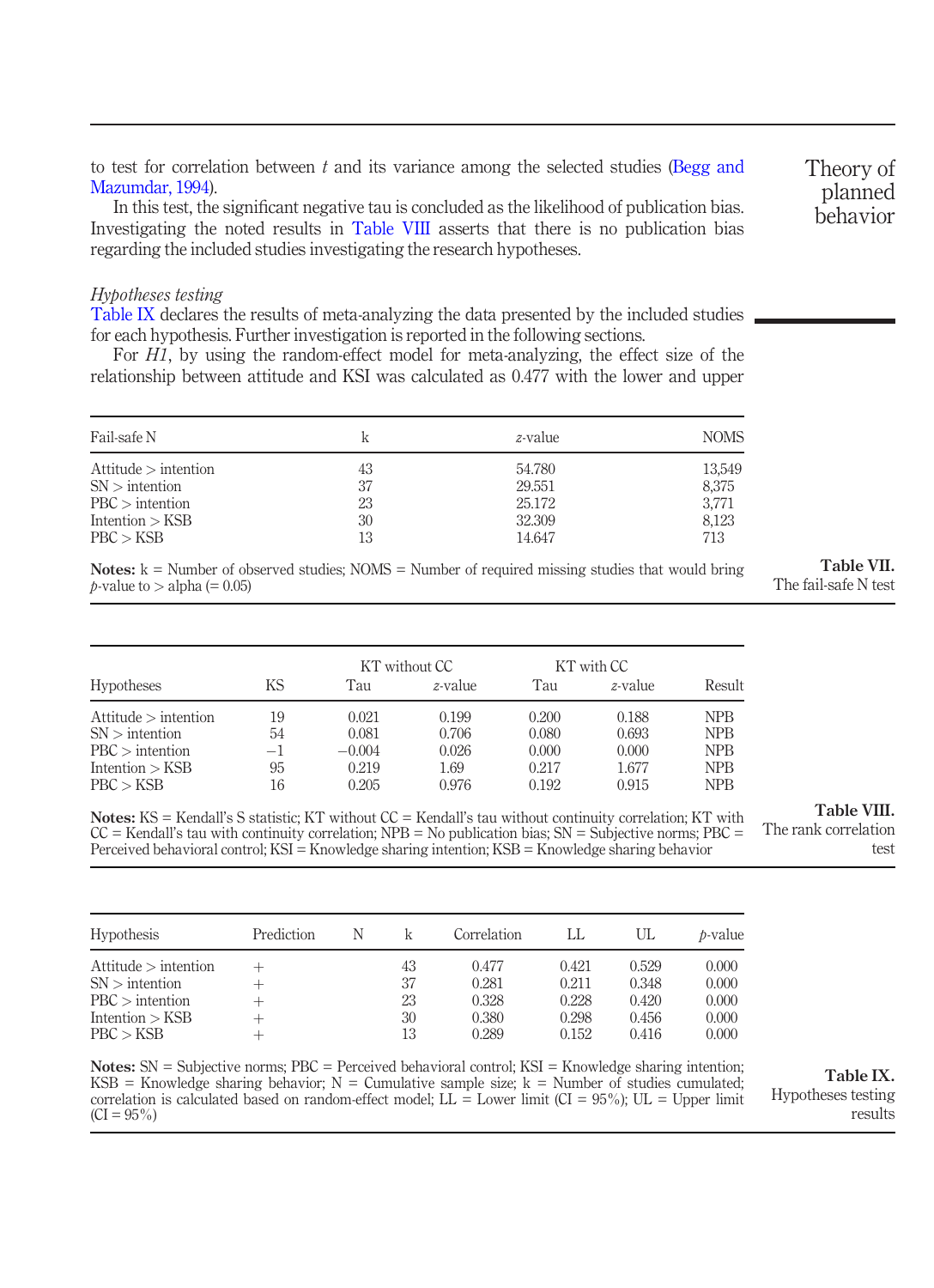to test for correlation between  $t$  and its variance among the selected studies ([Begg and](#page-18-18) [Mazumdar, 1994\)](#page-18-18).

In this test, the significant negative tau is concluded as the likelihood of publication bias. Investigating the noted results in [Table VIII](#page-14-1) asserts that there is no publication bias regarding the included studies investigating the research hypotheses.

#### Hypotheses testing

[Table IX](#page-14-2) declares the results of meta-analyzing the data presented by the included studies. for each hypothesis. Further investigation is reported in the following sections.

For H1, by using the random-effect model for meta-analyzing, the effect size of the relationship between attitude and KSI was calculated as 0.477 with the lower and upper

| Fail-safe N          |    | z-value | <b>NOMS</b> |
|----------------------|----|---------|-------------|
| Attitude > intention | 43 | 54.780  | 13,549      |
| $SN$ > intention     | 37 | 29.551  | 8,375       |
| $PBC >$ intention    | 23 | 25.172  | 3.771       |
| Intention > KSB      | 30 | 32.309  | 8,123       |
| PBC > KSB            | 13 | 14.647  | 713         |

Notes:  $k =$  Number of observed studies; NOMS = Number of required missing studies that would bring  $p$ -value to  $>$  alpha (= 0.05)

<span id="page-14-0"></span>

| Table VII.           |  |
|----------------------|--|
| The fail-safe N test |  |

|                      |      |          | KT without CC | KT with CC |         |            |
|----------------------|------|----------|---------------|------------|---------|------------|
| <b>Hypotheses</b>    | ΚS   | Tau      | z-value       | Tau        | z-value | Result     |
| Attitude > intention | 19   | 0.021    | 0.199         | 0.200      | 0.188   | <b>NPB</b> |
| $SN$ > intention     | 54   | 0.081    | 0.706         | 0.080      | 0.693   | <b>NPB</b> |
| $PBC$ intention      | $-1$ | $-0.004$ | 0.026         | 0.000      | 0.000   | <b>NPB</b> |
| Intention $>$ KSB    | 95   | 0.219    | 1.69          | 0.217      | 1.677   | <b>NPB</b> |
| PBC > KSB            | 16   | 0.205    | 0.976         | 0.192      | 0.915   | <b>NPB</b> |

Notes: KS = Kendall's S statistic; KT without CC = Kendall's tau without continuity correlation; KT with  $CC =$  Kendall's tau with continuity correlation; NPB = No publication bias; SN = Subjective norms; PBC = Perceived behavioral control; KSI = Knowledge sharing intention; KSB = Knowledge sharing behavior

Table VIII.

<span id="page-14-1"></span>The rank correlation test

| <b>Hypothesis</b>    | Prediction | N |    | Correlation |       | UL    | <i>b</i> -value |
|----------------------|------------|---|----|-------------|-------|-------|-----------------|
| Attitude > intention |            |   | 43 | 0.477       | 0.421 | 0.529 | 0.000           |
| $SN >$ intention     |            |   | 37 | 0.281       | 0.211 | 0.348 | 0.000           |
| $PBC$ intention      |            |   | 23 | 0.328       | 0.228 | 0.420 | 0.000           |
| Intention $>$ KSB    |            |   | 30 | 0.380       | 0.298 | 0.456 | 0.000           |
| PBC > KSB            |            |   | 13 | 0.289       | 0.152 | 0.416 | 0.000           |

Notes: SN = Subjective norms; PBC = Perceived behavioral control; KSI = Knowledge sharing intention; KSB = Knowledge sharing behavior;  $N =$  Cumulative sample size;  $k =$  Number of studies cumulated; correlation is calculated based on random-effect model; LL = Lower limit (CI = 95%); UL = Upper limit  $(CI = 95\%)$ 

<span id="page-14-2"></span>Table IX. Hypotheses testing results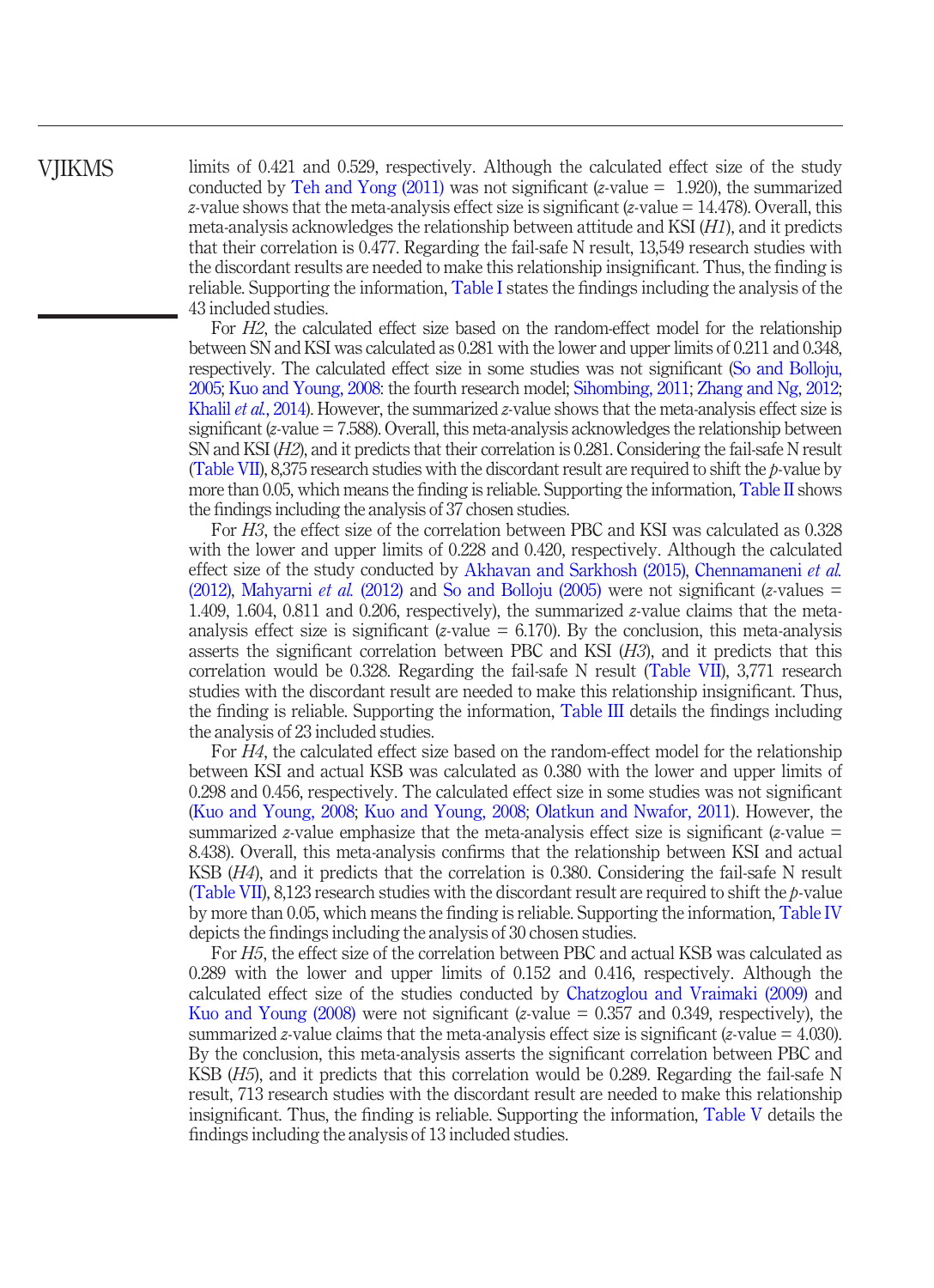# VJIKMS

limits of 0.421 and 0.529, respectively. Although the calculated effect size of the study conducted by [Teh and Yong \(2011\)](#page-22-6) was not significant (*z*-value  $= 1.920$ ), the summarized z-value shows that the meta-analysis effect size is significant (z-value  $= 14.478$ ). Overall, this meta-analysis acknowledges the relationship between attitude and KSI  $(H1)$ , and it predicts that their correlation is 0.477. Regarding the fail-safe N result, 13,549 research studies with the discordant results are needed to make this relationship insignificant. Thus, the finding is reliable. Supporting the information, [Table I](#page-5-0) states the findings including the analysis of the 43 included studies.

For H2, the calculated effect size based on the random-effect model for the relationship between SN and KSI was calculated as 0.281 with the lower and upper limits of 0.211 and 0.348, respectively. The calculated effect size in some studies was not significant [\(So and Bolloju,](#page-21-15) [2005;](#page-21-15) [Kuo and Young, 2008:](#page-20-0) the fourth research model; [Sihombing, 2011](#page-21-12); [Zhang and Ng, 2012](#page-22-5); [Khalil](#page-20-15) *et al.*, 2014). However, the summarized *z*-value shows that the meta-analysis effect size is significant ( $z$ -value = 7.588). Overall, this meta-analysis acknowledges the relationship between SN and KSI (H2), and it predicts that their correlation is 0.281. Considering the fail-safe N result [\(Table VII](#page-14-0)), 8,375 research studies with the discordant result are required to shift the  $p$ -value by more than 0.05, which means the finding is reliable. Supporting the information, [Table II](#page-6-1) shows the findings including the analysis of 37 chosen studies.

For H3, the effect size of the correlation between PBC and KSI was calculated as 0.328 with the lower and upper limits of 0.228 and 0.420, respectively. Although the calculated effect size of the study conducted by [Akhavan and Sarkhosh \(2015\)](#page-17-3), [Chennamaneni](#page-18-2) *et al.* [\(2012\)](#page-18-2), [Mahyarni](#page-20-16) *et al.* (2012) and [So and Bolloju \(2005\)](#page-21-15) were not significant (*z*-values = 1.409, 1.604, 0.811 and 0.206, respectively), the summarized z-value claims that the metaanalysis effect size is significant (*z*-value  $= 6.170$ ). By the conclusion, this meta-analysis asserts the significant correlation between PBC and KSI  $(H3)$ , and it predicts that this correlation would be 0.328. Regarding the fail-safe N result ([Table VII](#page-14-0)), 3,771 research studies with the discordant result are needed to make this relationship insignificant. Thus, the finding is reliable. Supporting the information, [Table III](#page-7-0) details the findings including the analysis of 23 included studies.

For H4, the calculated effect size based on the random-effect model for the relationship between KSI and actual KSB was calculated as 0.380 with the lower and upper limits of 0.298 and 0.456, respectively. The calculated effect size in some studies was not significant [\(Kuo and Young, 2008](#page-20-0); [Kuo and Young, 2008;](#page-20-0) [Olatkun and Nwafor, 2011](#page-21-19)). However, the summarized z-value emphasize that the meta-analysis effect size is significant (z-value  $=$ 8.438). Overall, this meta-analysis confirms that the relationship between KSI and actual KSB (H4), and it predicts that the correlation is 0.380. Considering the fail-safe N result [\(Table VII](#page-14-0)), 8,123 research studies with the discordant result are required to shift the  $p$ -value by more than 0.05, which means the finding is reliable. Supporting the information, [Table IV](#page-9-0) depicts the findings including the analysis of 30 chosen studies.

For H5, the effect size of the correlation between PBC and actual KSB was calculated as 0.289 with the lower and upper limits of 0.152 and 0.416, respectively. Although the calculated effect size of the studies conducted by [Chatzoglou and Vraimaki \(2009\)](#page-18-15) and Kuo and Young  $(2008)$  were not significant (*z*-value  $= 0.357$  and 0.349, respectively), the summarized z-value claims that the meta-analysis effect size is significant (z-value =  $4.030$ ). By the conclusion, this meta-analysis asserts the significant correlation between PBC and KSB (H5), and it predicts that this correlation would be 0.289. Regarding the fail-safe N result, 713 research studies with the discordant result are needed to make this relationship insignificant. Thus, the finding is reliable. Supporting the information, [Table V](#page-10-0) details the findings including the analysis of 13 included studies.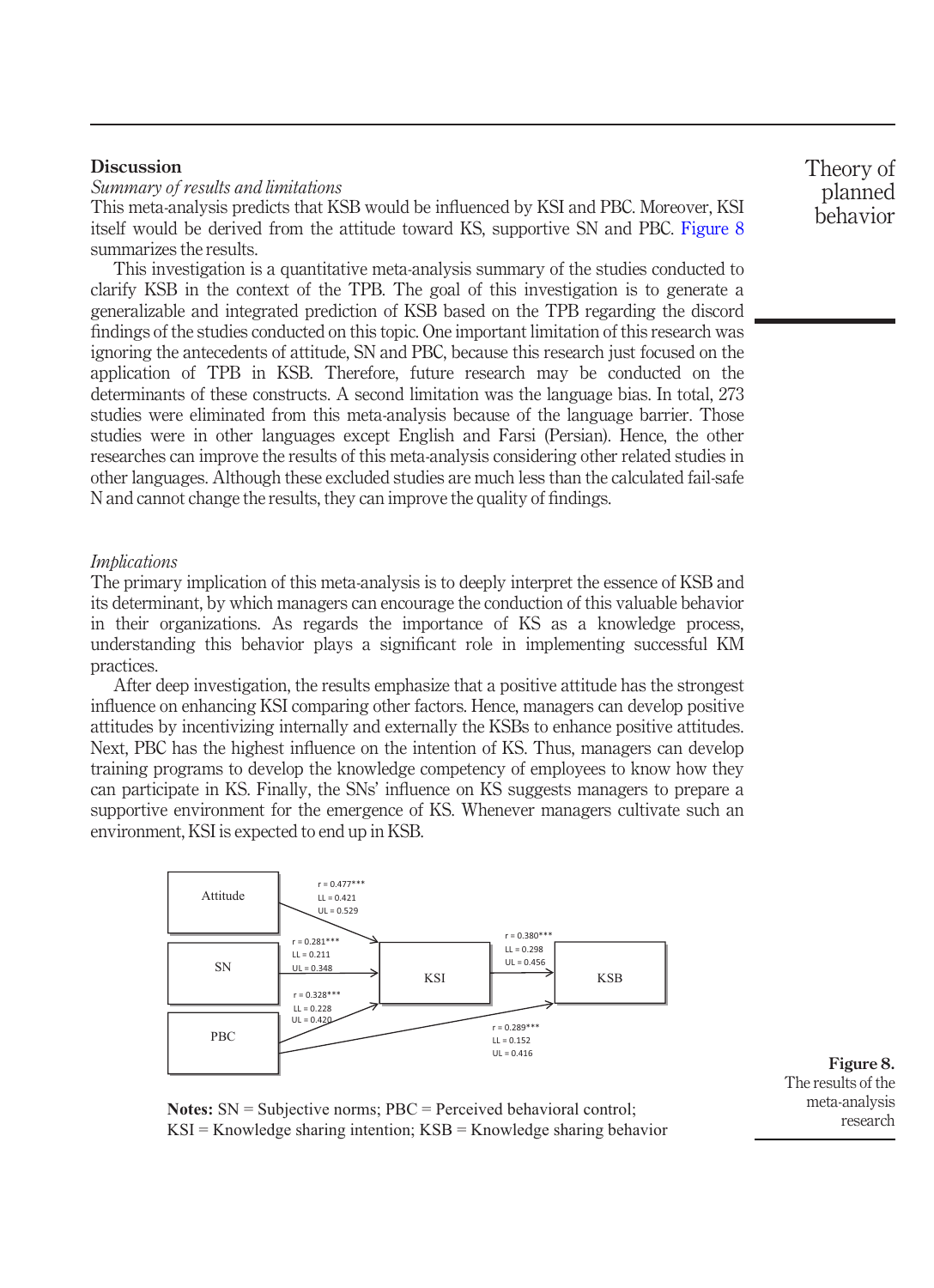#### **Discussion**

Summary of results and limitations

This meta-analysis predicts that KSB would be influenced by KSI and PBC. Moreover, KSI itself would be derived from the attitude toward KS, supportive SN and PBC. [Figure 8](#page-16-0) summarizes the results.

This investigation is a quantitative meta-analysis summary of the studies conducted to clarify KSB in the context of the TPB. The goal of this investigation is to generate a generalizable and integrated prediction of KSB based on the TPB regarding the discord findings of the studies conducted on this topic. One important limitation of this research was ignoring the antecedents of attitude, SN and PBC, because this research just focused on the application of TPB in KSB. Therefore, future research may be conducted on the determinants of these constructs. A second limitation was the language bias. In total, 273 studies were eliminated from this meta-analysis because of the language barrier. Those studies were in other languages except English and Farsi (Persian). Hence, the other researches can improve the results of this meta-analysis considering other related studies in other languages. Although these excluded studies are much less than the calculated fail-safe N and cannot change the results, they can improve the quality of findings.

#### **Implications**

The primary implication of this meta-analysis is to deeply interpret the essence of KSB and its determinant, by which managers can encourage the conduction of this valuable behavior in their organizations. As regards the importance of KS as a knowledge process, understanding this behavior plays a significant role in implementing successful KM practices.

After deep investigation, the results emphasize that a positive attitude has the strongest influence on enhancing KSI comparing other factors. Hence, managers can develop positive attitudes by incentivizing internally and externally the KSBs to enhance positive attitudes. Next, PBC has the highest influence on the intention of KS. Thus, managers can develop training programs to develop the knowledge competency of employees to know how they can participate in KS. Finally, the SNs' influence on KS suggests managers to prepare a supportive environment for the emergence of KS. Whenever managers cultivate such an environment, KSI is expected to end up in KSB.



<span id="page-16-0"></span>Figure 8. The results of the meta-analysis research

**Notes:** SN = Subjective norms; PBC = Perceived behavioral control;  $KSI =$ Knowledge sharing intention;  $KSB =$ Knowledge sharing behavior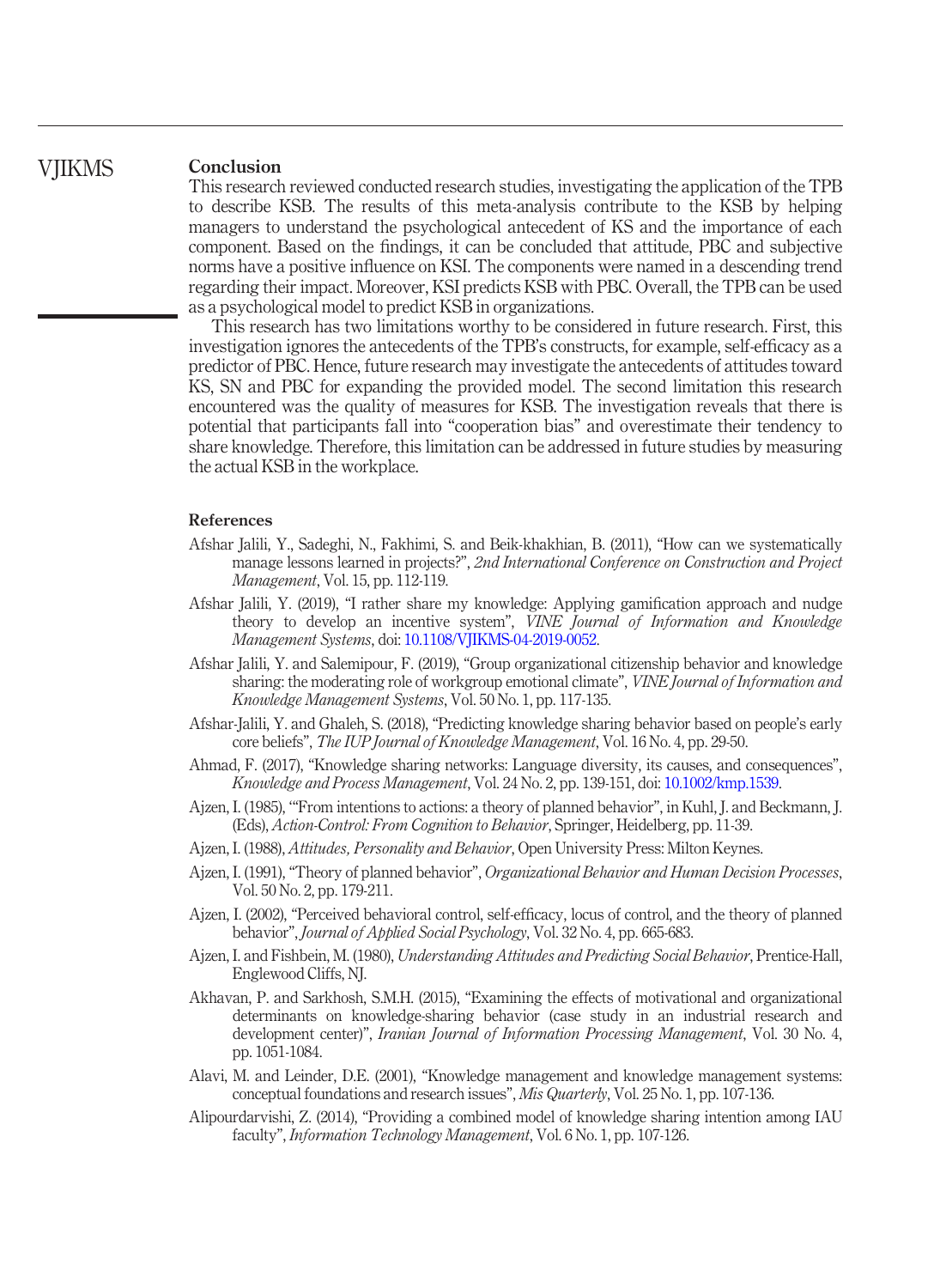#### Conclusion **VIIKMS**

This research reviewed conducted research studies, investigating the application of the TPB to describe KSB. The results of this meta-analysis contribute to the KSB by helping managers to understand the psychological antecedent of KS and the importance of each component. Based on the findings, it can be concluded that attitude, PBC and subjective norms have a positive influence on KSI. The components were named in a descending trend regarding their impact. Moreover, KSI predicts KSB with PBC. Overall, the TPB can be used as a psychological model to predict KSB in organizations.

This research has two limitations worthy to be considered in future research. First, this investigation ignores the antecedents of the TPB's constructs, for example, self-efficacy as a predictor of PBC. Hence, future research may investigate the antecedents of attitudes toward KS, SN and PBC for expanding the provided model. The second limitation this research encountered was the quality of measures for KSB. The investigation reveals that there is potential that participants fall into "cooperation bias" and overestimate their tendency to share knowledge. Therefore, this limitation can be addressed in future studies by measuring the actual KSB in the workplace.

#### References

- <span id="page-17-4"></span>Afshar Jalili, Y., Sadeghi, N., Fakhimi, S. and Beik-khakhian, B. (2011), "How can we systematically manage lessons learned in projects?", 2nd International Conference on Construction and Project Management, Vol. 15, pp. 112-119.
- <span id="page-17-5"></span>Afshar Jalili, Y. (2019), "I rather share my knowledge: Applying gamification approach and nudge theory to develop an incentive system", VINE Journal of Information and Knowledge Management Systems, doi: [10.1108/VJIKMS-04-2019-0052](http://dx.doi.org/10.1108/VJIKMS-04-2019-0052).
- <span id="page-17-6"></span>Afshar Jalili, Y. and Salemipour, F. (2019), "Group organizational citizenship behavior and knowledge sharing: the moderating role of workgroup emotional climate", VINE Journal of Information and Knowledge Management Systems, Vol. 50 No. 1, pp. 117-135.
- <span id="page-17-2"></span>Afshar-Jalili, Y. and Ghaleh, S. (2018), "Predicting knowledge sharing behavior based on people's early core beliefs", The IUP Journal of Knowledge Management, Vol. 16 No. 4, pp. 29-50.
- <span id="page-17-1"></span>Ahmad, F. (2017), "Knowledge sharing networks: Language diversity, its causes, and consequences", Knowledge and Process Management, Vol. 24 No. 2, pp. 139-151, doi: [10.1002/kmp.1539](http://dx.doi.org/10.1002/kmp.1539).
- <span id="page-17-9"></span>Ajzen, I. (1985), '"From intentions to actions: a theory of planned behavior", in Kuhl, J. and Beckmann, J. (Eds), Action-Control: From Cognition to Behavior, Springer, Heidelberg, pp. 11-39.
- <span id="page-17-10"></span>Ajzen, I. (1988), Attitudes, Personality and Behavior, Open University Press: Milton Keynes.
- <span id="page-17-8"></span>Ajzen, I. (1991), "Theory of planned behavior", Organizational Behavior and Human Decision Processes, Vol. 50 No. 2, pp. 179-211.
- <span id="page-17-11"></span>Ajzen, I. (2002), "Perceived behavioral control, self-efficacy, locus of control, and the theory of planned behavior", Journal of Applied Social Psychology, Vol. 32 No. 4, pp. 665-683.
- <span id="page-17-7"></span>Ajzen, I. and Fishbein, M. (1980), Understanding Attitudes and Predicting Social Behavior, Prentice-Hall, Englewood Cliffs, NJ.
- <span id="page-17-3"></span>Akhavan, P. and Sarkhosh, S.M.H. (2015), "Examining the effects of motivational and organizational determinants on knowledge-sharing behavior (case study in an industrial research and development center)", Iranian Journal of Information Processing Management, Vol. 30 No. 4, pp. 1051-1084.
- <span id="page-17-0"></span>Alavi, M. and Leinder, D.E. (2001), "Knowledge management and knowledge management systems: conceptual foundations and research issues", Mis Quarterly, Vol. 25 No. 1, pp. 107-136.
- <span id="page-17-12"></span>Alipourdarvishi, Z. (2014), "Providing a combined model of knowledge sharing intention among IAU faculty", Information Technology Management, Vol. 6 No. 1, pp. 107-126.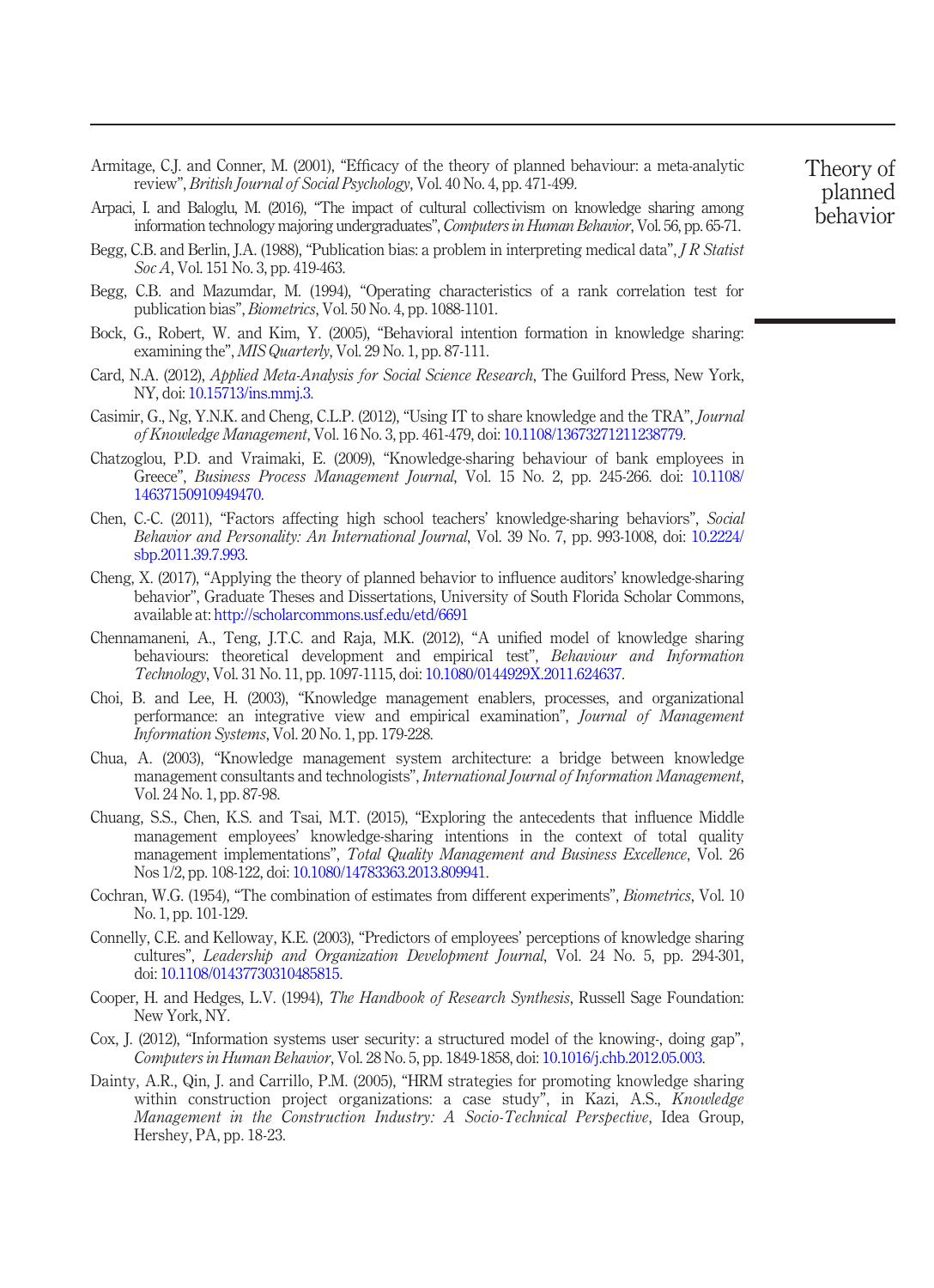- <span id="page-18-5"></span>Armitage, C.J. and Conner, M. (2001), "Efficacy of the theory of planned behaviour: a meta-analytic review", British Journal of Social Psychology, Vol. 40 No. 4, pp. 471-499.
- <span id="page-18-12"></span>Arpaci, I. and Baloglu, M. (2016), "The impact of cultural collectivism on knowledge sharing among information technology majoring undergraduates", Computers in Human Behavior, Vol. 56, pp. 65-71.
- <span id="page-18-17"></span>Begg, C.B. and Berlin, J.A. (1988), "Publication bias: a problem in interpreting medical data", *J R Statist* Soc A, Vol. 151 No. 3, pp. 419-463.
- <span id="page-18-18"></span>Begg, C.B. and Mazumdar, M. (1994), "Operating characteristics of a rank correlation test for publication bias", Biometrics, Vol. 50 No. 4, pp. 1088-1101.
- <span id="page-18-7"></span>Bock, G., Robert, W. and Kim, Y. (2005), "Behavioral intention formation in knowledge sharing: examining the", MIS Quarterly, Vol. 29 No. 1, pp. 87-111.
- <span id="page-18-10"></span>Card, N.A. (2012), Applied Meta-Analysis for Social Science Research, The Guilford Press, New York, NY, doi: [10.15713/ins.mmj.3.](http://dx.doi.org/10.15713/ins.mmj.3)
- <span id="page-18-14"></span>Casimir, G., Ng, Y.N.K. and Cheng, C.L.P. (2012), "Using IT to share knowledge and the TRA", Journal of Knowledge Management, Vol. 16 No. 3, pp. 461-479, doi: [10.1108/13673271211238779.](http://dx.doi.org/10.1108/13673271211238779)
- <span id="page-18-15"></span>Chatzoglou, P.D. and Vraimaki, E. (2009), "Knowledge-sharing behaviour of bank employees in Greece", Business Process Management Journal, Vol. 15 No. 2, pp. 245-266. doi: [10.1108/](http://dx.doi.org/10.1108/14637150910949470) [14637150910949470.](http://dx.doi.org/10.1108/14637150910949470)
- <span id="page-18-9"></span>Chen, C.-C. (2011), "Factors affecting high school teachers' knowledge-sharing behaviors", Social Behavior and Personality: An International Journal, Vol. 39 No. 7, pp. 993-1008, doi: [10.2224/](http://dx.doi.org/10.2224/sbp.2011.39.7.993) [sbp.2011.39.7.993](http://dx.doi.org/10.2224/sbp.2011.39.7.993).
- <span id="page-18-6"></span>Cheng, X. (2017), "Applying the theory of planned behavior to influence auditors' knowledge-sharing behavior", Graduate Theses and Dissertations, University of South Florida Scholar Commons, available at: <http://scholarcommons.usf.edu/etd/6691>
- <span id="page-18-2"></span>Chennamaneni, A., Teng, J.T.C. and Raja, M.K. (2012), "A unified model of knowledge sharing behaviours: theoretical development and empirical test", Behaviour and Information Technology, Vol. 31 No. 11, pp. 1097-1115, doi: [10.1080/0144929X.2011.624637](http://dx.doi.org/10.1080/0144929X.2011.624637).
- <span id="page-18-0"></span>Choi, B. and Lee, H. (2003), "Knowledge management enablers, processes, and organizational performance: an integrative view and empirical examination", Journal of Management Information Systems, Vol. 20 No. 1, pp. 179-228.
- <span id="page-18-3"></span>Chua, A. (2003), "Knowledge management system architecture: a bridge between knowledge management consultants and technologists", *International Journal of Information Management*, Vol. 24 No. 1, pp. 87-98.
- <span id="page-18-13"></span>Chuang, S.S., Chen, K.S. and Tsai, M.T. (2015), "Exploring the antecedents that influence Middle management employees' knowledge-sharing intentions in the context of total quality management implementations", Total Quality Management and Business Excellence, Vol. 26 Nos 1/2, pp. 108-122, doi: [10.1080/14783363.2013.809941.](http://dx.doi.org/10.1080/14783363.2013.809941)
- <span id="page-18-16"></span>Cochran, W.G. (1954), "The combination of estimates from different experiments", *Biometrics*, Vol. 10 No. 1, pp. 101-129.
- <span id="page-18-4"></span>Connelly, C.E. and Kelloway, K.E. (2003), "Predictors of employees' perceptions of knowledge sharing cultures", Leadership and Organization Development Journal, Vol. 24 No. 5, pp. 294-301, doi: [10.1108/01437730310485815](http://dx.doi.org/10.1108/01437730310485815).
- <span id="page-18-11"></span>Cooper, H. and Hedges, L.V. (1994), The Handbook of Research Synthesis, Russell Sage Foundation: New York, NY.
- <span id="page-18-8"></span>Cox, J. (2012), "Information systems user security: a structured model of the knowing-, doing gap", Computers in Human Behavior, Vol. 28 No. 5, pp. 1849-1858, doi: [10.1016/j.chb.2012.05.003.](http://dx.doi.org/10.1016/j.chb.2012.05.003)
- <span id="page-18-1"></span>Dainty, A.R., Qin, J. and Carrillo, P.M. (2005), "HRM strategies for promoting knowledge sharing within construction project organizations: a case study", in Kazi, A.S., Knowledge Management in the Construction Industry: A Socio-Technical Perspective, Idea Group, Hershey, PA, pp. 18-23.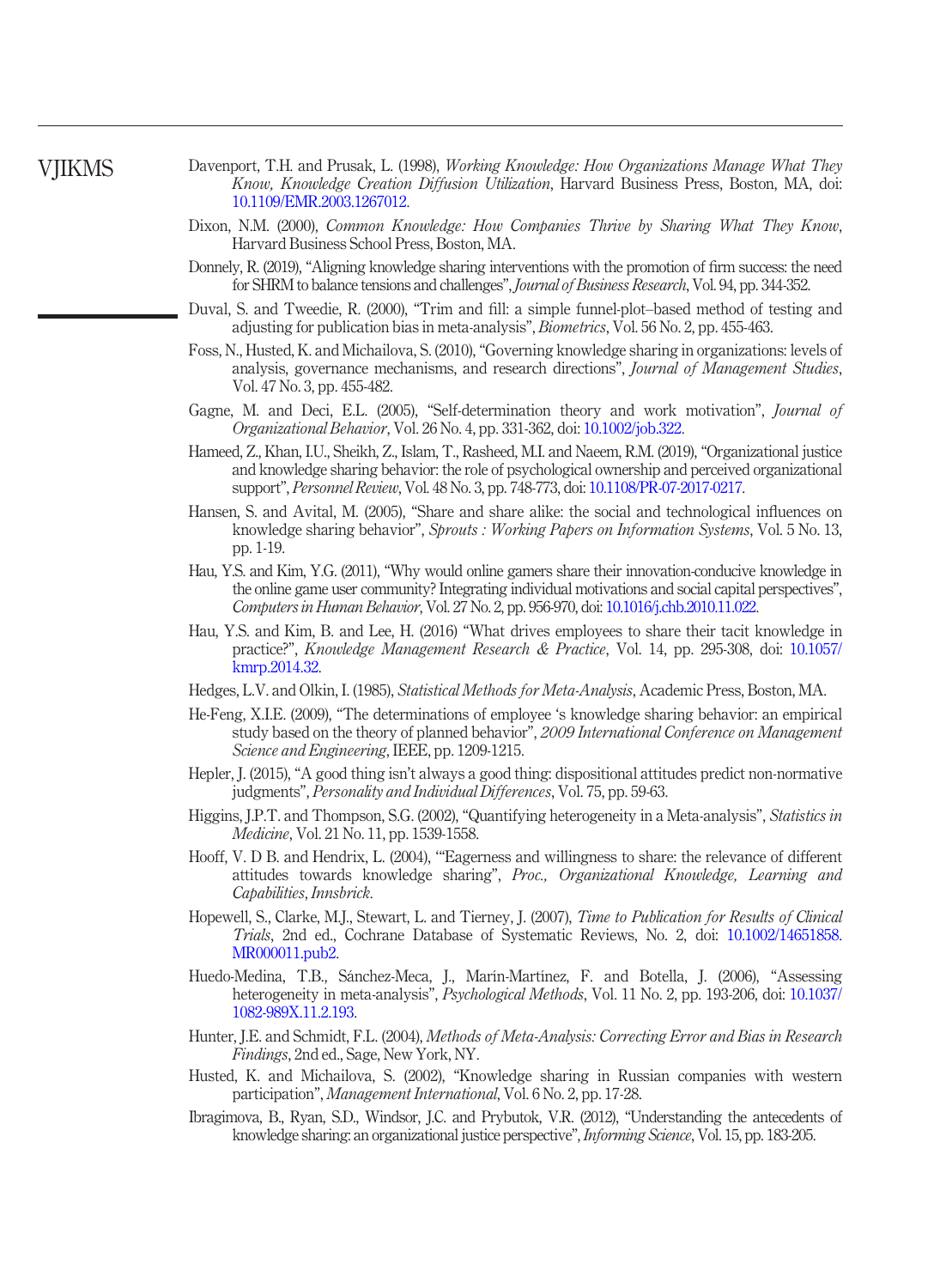# **VIIKMS**

- <span id="page-19-3"></span>Davenport, T.H. and Prusak, L. (1998), *Working Knowledge: How Organizations Manage What They* Know, Knowledge Creation Diffusion Utilization, Harvard Business Press, Boston, MA, doi: [10.1109/EMR.2003.1267012.](http://dx.doi.org/10.1109/EMR.2003.1267012)
- <span id="page-19-5"></span>Dixon, N.M. (2000), Common Knowledge: How Companies Thrive by Sharing What They Know, Harvard Business School Press, Boston, MA.
- <span id="page-19-1"></span>Donnely, R. (2019), "Aligning knowledge sharing interventions with the promotion of firm success: the need for SHRM to balance tensions and challenges", Journal of Business Research, Vol. 94, pp. 344-352.
- <span id="page-19-19"></span>Duval, S. and Tweedie, R. (2000), "Trim and fill: a simple funnel-plot–based method of testing and adjusting for publication bias in meta-analysis", Biometrics, Vol. 56 No. 2, pp. 455-463.
- <span id="page-19-6"></span>Foss, N., Husted, K. and Michailova, S. (2010), "Governing knowledge sharing in organizations: levels of analysis, governance mechanisms, and research directions", *Journal of Management Studies*, Vol. 47 No. 3, pp. 455-482.
- <span id="page-19-8"></span>Gagne, M. and Deci, E.L. (2005), "Self-determination theory and work motivation", *Journal of* Organizational Behavior, Vol. 26 No. 4, pp. 331-362, doi: [10.1002/job.322](http://dx.doi.org/10.1002/job.322).
- <span id="page-19-0"></span>Hameed, Z., Khan, I.U., Sheikh, Z., Islam, T., Rasheed, M.I. and Naeem, R.M. (2019), "Organizational justice and knowledge sharing behavior: the role of psychological ownership and perceived organizational support", Personnel Review, Vol. 48 No. 3, pp. 748-773, doi: [10.1108/PR-07-2017-0217](http://dx.doi.org/10.1108/PR-07-2017-0217).
- <span id="page-19-7"></span>Hansen, S. and Avital, M. (2005), "Share and share alike: the social and technological influences on knowledge sharing behavior", Sprouts : Working Papers on Information Systems, Vol. 5 No. 13, pp. 1-19.
- <span id="page-19-15"></span>Hau, Y.S. and Kim, Y.G. (2011), "Why would online gamers share their innovation-conducive knowledge in the online game user community? Integrating individual motivations and social capital perspectives", Computers in Human Behavior, Vol. 27 No. 2, pp. 956-970, doi: [10.1016/j.chb.2010.11.022](http://dx.doi.org/10.1016/j.chb.2010.11.022).
- <span id="page-19-13"></span>Hau, Y.S. and Kim, B. and Lee, H. (2016) "What drives employees to share their tacit knowledge in practice?", Knowledge Management Research & Practice, Vol. 14, pp. 295-308, doi: [10.1057/](http://dx.doi.org/10.1057/kmrp.2014.32) [kmrp.2014.32](http://dx.doi.org/10.1057/kmrp.2014.32).
- <span id="page-19-16"></span>Hedges, L.V. and Olkin, I. (1985), Statistical Methods for Meta-Analysis, Academic Press, Boston, MA.
- <span id="page-19-11"></span>He-Feng, X.I.E. (2009), "The determinations of employee 's knowledge sharing behavior: an empirical study based on the theory of planned behavior", 2009 International Conference on Management Science and Engineering, IEEE, pp. 1209-1215.
- <span id="page-19-9"></span>Hepler, J. (2015), "A good thing isn't always a good thing: dispositional attitudes predict non-normative judgments", Personality and Individual Differences, Vol. 75, pp. 59-63.
- <span id="page-19-17"></span>Higgins, J.P.T. and Thompson, S.G. (2002), "Quantifying heterogeneity in a Meta-analysis", Statistics in Medicine, Vol. 21 No. 11, pp. 1539-1558.
- <span id="page-19-2"></span>Hooff, V. D B. and Hendrix, L. (2004), '"Eagerness and willingness to share: the relevance of different attitudes towards knowledge sharing", Proc., Organizational Knowledge, Learning and Capabilities, Innsbrick.
- <span id="page-19-18"></span>Hopewell, S., Clarke, M.J., Stewart, L. and Tierney, J. (2007), Time to Publication for Results of Clinical Trials, 2nd ed., Cochrane Database of Systematic Reviews, No. 2, doi: [10.1002/14651858.](http://dx.doi.org/10.1002/14651858.MR000011.pub2) [MR000011.pub2.](http://dx.doi.org/10.1002/14651858.MR000011.pub2)
- <span id="page-19-12"></span>Huedo-Medina, T.B., Sánchez-Meca, J., Marín-Martínez, F. and Botella, J. (2006), "Assessing heterogeneity in meta-analysis", *Psychological Methods*, Vol. 11 No. 2, pp. 193-206, doi: [10.1037/](http://dx.doi.org/10.1037/1082-989X.11.2.193) [1082-989X.11.2.193.](http://dx.doi.org/10.1037/1082-989X.11.2.193)
- <span id="page-19-4"></span>Hunter, J.E. and Schmidt, F.L. (2004), Methods of Meta-Analysis: Correcting Error and Bias in Research Findings, 2nd ed., Sage, New York, NY.
- <span id="page-19-10"></span>Husted, K. and Michailova, S. (2002), "Knowledge sharing in Russian companies with western participation", Management International, Vol. 6 No. 2, pp. 17-28.
- <span id="page-19-14"></span>Ibragimova, B., Ryan, S.D., Windsor, J.C. and Prybutok, V.R. (2012), "Understanding the antecedents of knowledge sharing: an organizational justice perspective", Informing Science, Vol. 15, pp. 183-205.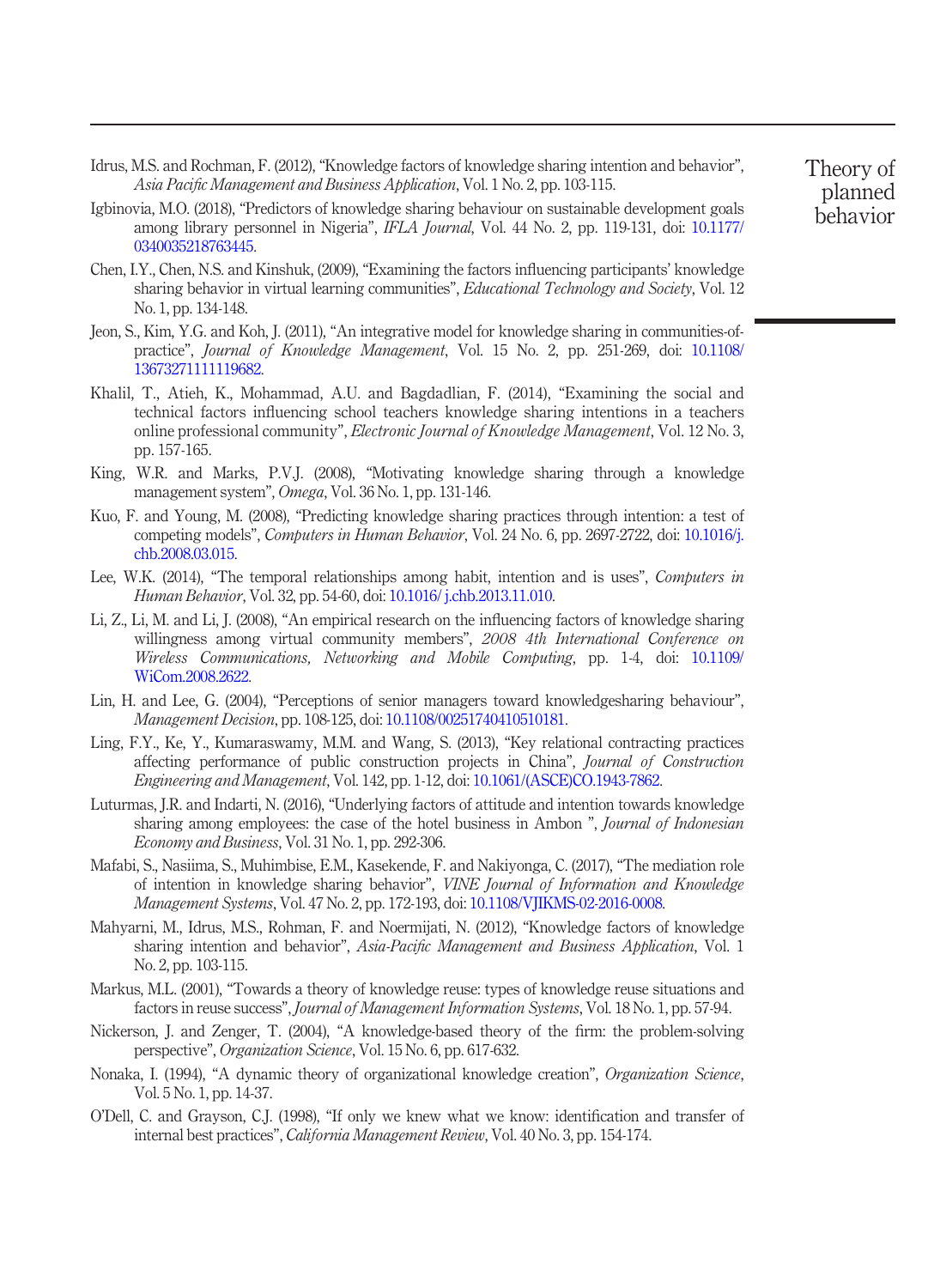- <span id="page-20-6"></span>Idrus, M.S. and Rochman, F. (2012), "Knowledge factors of knowledge sharing intention and behavior", Asia Pacific Management and Business Application, Vol. 1 No. 2, pp. 103-115.
- <span id="page-20-11"></span>Igbinovia, M.O. (2018), "Predictors of knowledge sharing behaviour on sustainable development goals among library personnel in Nigeria", IFLA Journal, Vol. 44 No. 2, pp. 119-131, doi: [10.1177/](http://dx.doi.org/10.1177/0340035218763445) [0340035218763445.](http://dx.doi.org/10.1177/0340035218763445)
- <span id="page-20-13"></span>Chen, I.Y., Chen, N.S. and Kinshuk, (2009), "Examining the factors influencing participants' knowledge sharing behavior in virtual learning communities", *Educational Technology and Society*, Vol. 12 No. 1, pp. 134-148.
- <span id="page-20-17"></span>Jeon, S., Kim, Y.G. and Koh, J. (2011), "An integrative model for knowledge sharing in communities-ofpractice", Journal of Knowledge Management, Vol. 15 No. 2, pp. 251-269, doi: [10.1108/](http://dx.doi.org/10.1108/13673271111119682) [13673271111119682.](http://dx.doi.org/10.1108/13673271111119682)
- <span id="page-20-15"></span>Khalil, T., Atieh, K., Mohammad, A.U. and Bagdadlian, F. (2014), "Examining the social and technical factors influencing school teachers knowledge sharing intentions in a teachers online professional community", Electronic Journal of Knowledge Management, Vol. 12 No. 3, pp. 157-165.
- <span id="page-20-1"></span>King, W.R. and Marks, P.V.J. (2008), "Motivating knowledge sharing through a knowledge management system", Omega, Vol. 36 No. 1, pp. 131-146.
- <span id="page-20-0"></span>Kuo, F. and Young, M. (2008), "Predicting knowledge sharing practices through intention: a test of competing models", Computers in Human Behavior, Vol. 24 No. 6, pp. 2697-2722, doi: [10.1016/j.](http://dx.doi.org/10.1016/j.chb.2008.03.015) [chb.2008.03.015.](http://dx.doi.org/10.1016/j.chb.2008.03.015)
- <span id="page-20-12"></span>Lee, W.K. (2014), "The temporal relationships among habit, intention and is uses", Computers in Human Behavior, Vol. 32, pp. 54-60, doi: [10.1016/ j.chb.2013.11.010.](http://dx.doi.org/10.1016/ j.chb.2013.11.010)
- <span id="page-20-5"></span>Li, Z., Li, M. and Li, J. (2008), "An empirical research on the influencing factors of knowledge sharing willingness among virtual community members", 2008 4th International Conference on Wireless Communications, Networking and Mobile Computing, pp. 1-4, doi: [10.1109/](http://dx.doi.org/10.1109/WiCom.2008.2622) [WiCom.2008.2622](http://dx.doi.org/10.1109/WiCom.2008.2622).
- <span id="page-20-9"></span>Lin, H. and Lee, G. (2004), "Perceptions of senior managers toward knowledgesharing behaviour", Management Decision, pp. 108-125, doi: [10.1108/00251740410510181](http://dx.doi.org/10.1108/00251740410510181).
- <span id="page-20-8"></span>Ling, F.Y., Ke, Y., Kumaraswamy, M.M. and Wang, S. (2013), "Key relational contracting practices affecting performance of public construction projects in China", Journal of Construction Engineering and Management, Vol. 142, pp. 1-12, doi: [10.1061/\(ASCE\)CO.1943-7862](http://dx.doi.org/10.1061/(ASCE)CO.1943-7862).
- <span id="page-20-14"></span>Luturmas, J.R. and Indarti, N. (2016), "Underlying factors of attitude and intention towards knowledge sharing among employees: the case of the hotel business in Ambon ", *Journal of Indonesian* Economy and Business, Vol. 31 No. 1, pp. 292-306.
- <span id="page-20-10"></span>Mafabi, S., Nasiima, S., Muhimbise, E.M., Kasekende, F. and Nakiyonga, C. (2017), "The mediation role of intention in knowledge sharing behavior", VINE Journal of Information and Knowledge Management Systems, Vol. 47 No. 2, pp. 172-193, doi: [10.1108/VJIKMS-02-2016-0008.](http://dx.doi.org/10.1108/VJIKMS-02-2016-0008)
- <span id="page-20-16"></span>Mahyarni, M., Idrus, M.S., Rohman, F. and Noermijati, N. (2012), "Knowledge factors of knowledge sharing intention and behavior", Asia-Pacific Management and Business Application, Vol. 1 No. 2, pp. 103-115.
- <span id="page-20-2"></span>Markus, M.L. (2001), "Towards a theory of knowledge reuse: types of knowledge reuse situations and factors in reuse success", Journal of Management Information Systems, Vol. 18 No. 1, pp. 57-94.
- <span id="page-20-3"></span>Nickerson, J. and Zenger, T. (2004), "A knowledge-based theory of the firm: the problem-solving perspective", Organization Science, Vol. 15 No. 6, pp. 617-632.
- <span id="page-20-7"></span>Nonaka, I. (1994), "A dynamic theory of organizational knowledge creation", *Organization Science*, Vol. 5 No. 1, pp. 14-37.
- <span id="page-20-4"></span>O'Dell, C. and Grayson, C.J. (1998), "If only we knew what we know: identification and transfer of internal best practices", California Management Review, Vol. 40 No. 3, pp. 154-174.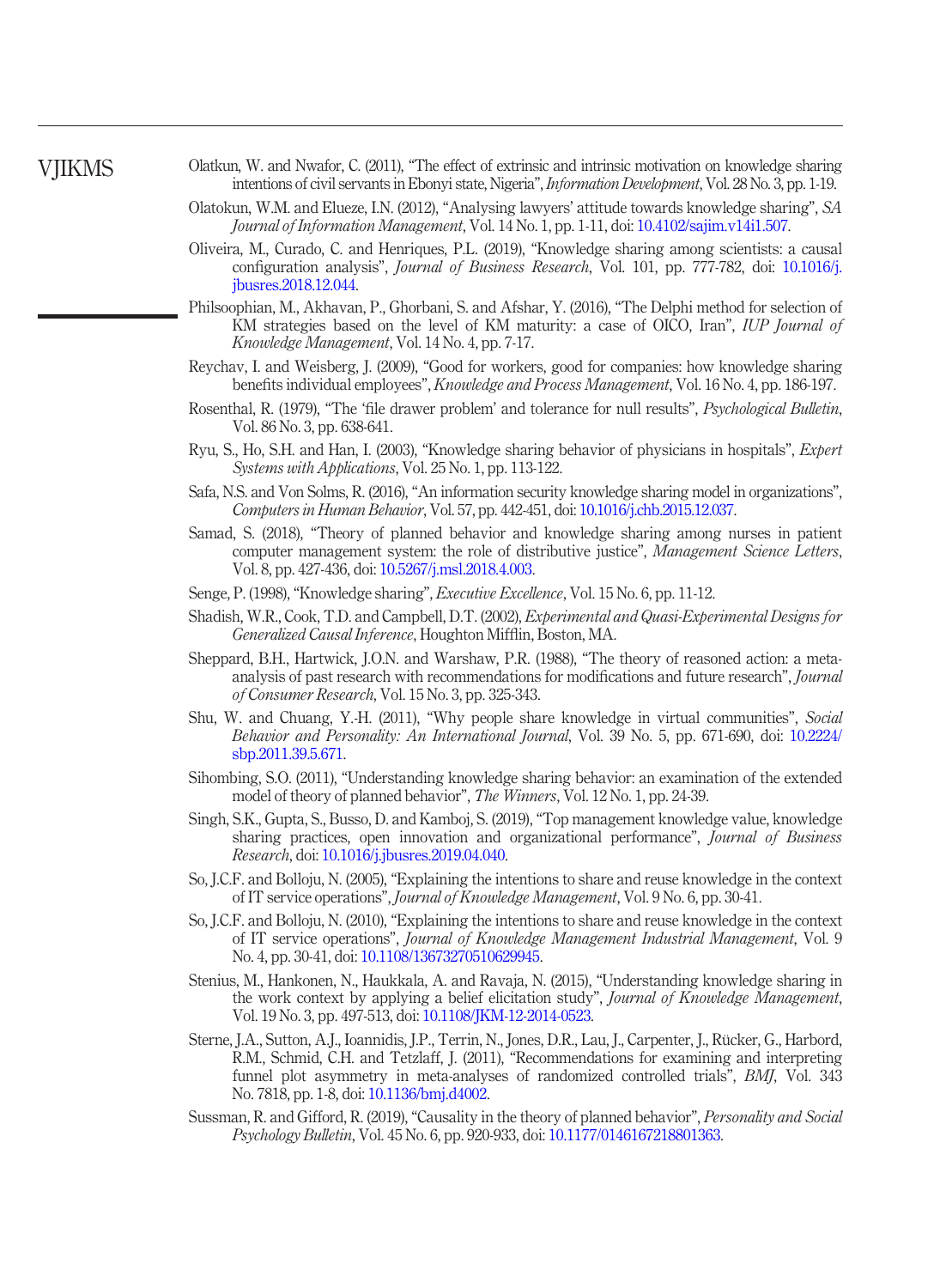# **VIIKMS**

- <span id="page-21-19"></span>Olatkun, W. and Nwafor, C. (2011), "The effect of extrinsic and intrinsic motivation on knowledge sharing intentions of civil servants in Ebonyi state, Nigeria", Information Development, Vol. 28 No. 3, pp. 1-19.
- <span id="page-21-5"></span>Olatokun, W.M. and Elueze, I.N. (2012), "Analysing lawyers' attitude towards knowledge sharing", SA Journal of Information Management, Vol. 14 No. 1, pp. 1-11, doi: [10.4102/sajim.v14i1.507](http://dx.doi.org/10.4102/sajim.v14i1.507).
- <span id="page-21-3"></span>Oliveira, M., Curado, C. and Henriques, P.L. (2019), "Knowledge sharing among scientists: a causal configuration analysis", Journal of Business Research, Vol. 101, pp. 777-782, doi: [10.1016/j.](http://dx.doi.org/10.1016/j.jbusres.2018.12.044) [jbusres.2018.12.044.](http://dx.doi.org/10.1016/j.jbusres.2018.12.044)
- <span id="page-21-2"></span>Philsoophian, M., Akhavan, P., Ghorbani, S. and Afshar, Y. (2016), "The Delphi method for selection of KM strategies based on the level of KM maturity: a case of OICO, Iran", *IUP Journal of* Knowledge Management, Vol. 14 No. 4, pp. 7-17.
- <span id="page-21-1"></span>Reychav, I. and Weisberg, J. (2009), "Good for workers, good for companies: how knowledge sharing benefits individual employees", Knowledge and Process Management, Vol. 16 No. 4, pp. 186-197.
- <span id="page-21-18"></span>Rosenthal, R. (1979), "The 'file drawer problem' and tolerance for null results", Psychological Bulletin, Vol. 86 No. 3, pp. 638-641.
- <span id="page-21-14"></span>Ryu, S., Ho, S.H. and Han, I. (2003), "Knowledge sharing behavior of physicians in hospitals", Expert Systems with Applications, Vol. 25 No. 1, pp. 113-122.
- <span id="page-21-8"></span>Safa, N.S. and Von Solms, R. (2016), "An information security knowledge sharing model in organizations", Computers in Human Behavior, Vol. 57, pp. 442-451, doi: [10.1016/j.chb.2015.12.037.](http://dx.doi.org/10.1016/j.chb.2015.12.037)
- <span id="page-21-10"></span>Samad, S. (2018), "Theory of planned behavior and knowledge sharing among nurses in patient computer management system: the role of distributive justice", *Management Science Letters*, Vol. 8, pp. 427-436, doi: [10.5267/j.msl.2018.4.003](http://dx.doi.org/10.5267/j.msl.2018.4.003).
- <span id="page-21-11"></span>Senge, P. (1998), "Knowledge sharing", *Executive Excellence*, Vol. 15 No. 6, pp. 11-12.
- <span id="page-21-4"></span>Shadish, W.R., Cook, T.D. and Campbell, D.T. (2002), Experimental and Quasi-Experimental Designs for Generalized Causal Inference, Houghton Mifflin, Boston, MA.
- <span id="page-21-7"></span>Sheppard, B.H., Hartwick, J.O.N. and Warshaw, P.R. (1988), "The theory of reasoned action: a metaanalysis of past research with recommendations for modifications and future research", Journal of Consumer Research, Vol. 15 No. 3, pp. 325-343.
- <span id="page-21-16"></span>Shu, W. and Chuang, Y.-H. (2011), "Why people share knowledge in virtual communities", Social Behavior and Personality: An International Journal, Vol. 39 No. 5, pp. 671-690, doi: [10.2224/](http://dx.doi.org/10.2224/sbp.2011.39.5.671) [sbp.2011.39.5.671](http://dx.doi.org/10.2224/sbp.2011.39.5.671).
- <span id="page-21-12"></span>Sihombing, S.O. (2011), "Understanding knowledge sharing behavior: an examination of the extended model of theory of planned behavior", The Winners, Vol. 12 No. 1, pp. 24-39.
- <span id="page-21-0"></span>Singh, S.K., Gupta, S., Busso, D. and Kamboj, S. (2019), "Top management knowledge value, knowledge sharing practices, open innovation and organizational performance", Journal of Business Research, doi: [10.1016/j.jbusres.2019.04.040.](http://dx.doi.org/10.1016/j.jbusres.2019.04.040)
- <span id="page-21-15"></span>So, J.C.F. and Bolloju, N. (2005), "Explaining the intentions to share and reuse knowledge in the context of IT service operations", Journal of Knowledge Management, Vol. 9 No. 6, pp. 30-41.
- <span id="page-21-13"></span>So, J.C.F. and Bolloju, N. (2010), "Explaining the intentions to share and reuse knowledge in the context of IT service operations", Journal of Knowledge Management Industrial Management, Vol. 9 No. 4, pp. 30-41, doi: [10.1108/13673270510629945](http://dx.doi.org/10.1108/13673270510629945).
- <span id="page-21-9"></span>Stenius, M., Hankonen, N., Haukkala, A. and Ravaja, N. (2015), "Understanding knowledge sharing in the work context by applying a belief elicitation study", *Journal of Knowledge Management*, Vol. 19 No. 3, pp. 497-513, doi: [10.1108/JKM-12-2014-0523](http://dx.doi.org/10.1108/JKM-12-2014-0523).
- <span id="page-21-17"></span>Sterne, J.A., Sutton, A.J., Ioannidis, J.P., Terrin, N., Jones, D.R., Lau, J., Carpenter, J., Rücker, G., Harbord, R.M., Schmid, C.H. and Tetzlaff, J. (2011), "Recommendations for examining and interpreting funnel plot asymmetry in meta-analyses of randomized controlled trials", BMJ, Vol. 343 No. 7818, pp. 1-8, doi: [10.1136/bmj.d4002](http://dx.doi.org/10.1136/bmj.d4002).
- <span id="page-21-6"></span>Sussman, R. and Gifford, R. (2019), "Causality in the theory of planned behavior", Personality and Social Psychology Bulletin, Vol. 45 No. 6, pp. 920-933, doi: [10.1177/0146167218801363.](http://dx.doi.org/10.1177/0146167218801363)